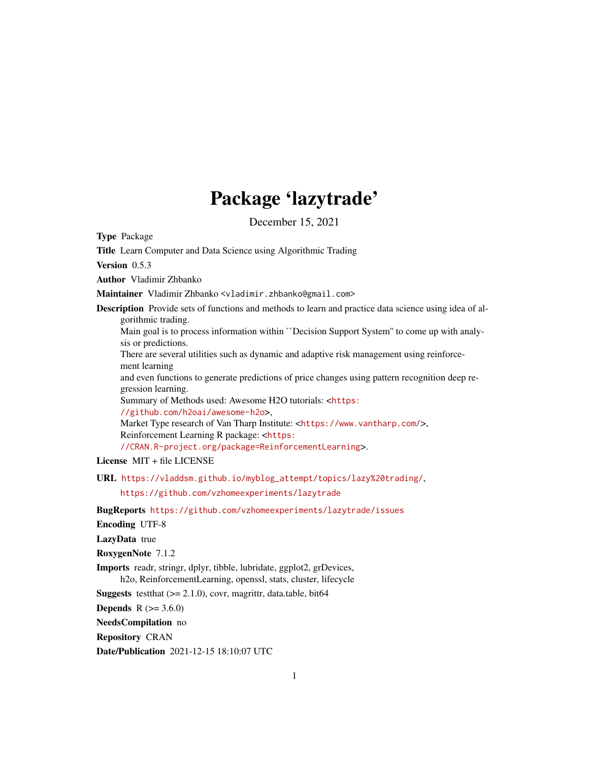# Package 'lazytrade'

December 15, 2021

Type Package

Title Learn Computer and Data Science using Algorithmic Trading

Version 0.5.3

Author Vladimir Zhbanko

Maintainer Vladimir Zhbanko <vladimir.zhbanko@gmail.com>

Description Provide sets of functions and methods to learn and practice data science using idea of algorithmic trading.

Main goal is to process information within ``Decision Support System'' to come up with analysis or predictions.

There are several utilities such as dynamic and adaptive risk management using reinforcement learning

and even functions to generate predictions of price changes using pattern recognition deep regression learning.

Summary of Methods used: Awesome H2O tutorials: <[https:](https://github.com/h2oai/awesome-h2o) [//github.com/h2oai/awesome-h2o](https://github.com/h2oai/awesome-h2o)>,

Market Type research of Van Tharp Institute: <<https://www.vantharp.com/>>, Reinforcement Learning R package: <[https:](https://CRAN.R-project.org/package=ReinforcementLearning) [//CRAN.R-project.org/package=ReinforcementLearning](https://CRAN.R-project.org/package=ReinforcementLearning)>.

License MIT + file LICENSE

URL [https://vladdsm.github.io/myblog\\_attempt/topics/lazy%20trading/](https://vladdsm.github.io/myblog_attempt/topics/lazy%20trading/),

<https://github.com/vzhomeexperiments/lazytrade>

BugReports <https://github.com/vzhomeexperiments/lazytrade/issues>

Encoding UTF-8

LazyData true

RoxygenNote 7.1.2

Imports readr, stringr, dplyr, tibble, lubridate, ggplot2, grDevices,

h2o, ReinforcementLearning, openssl, stats, cluster, lifecycle

**Suggests** test that  $(>= 2.1.0)$ , covr, magnittr, data.table, bit64

**Depends** R  $(>= 3.6.0)$ 

NeedsCompilation no

Repository CRAN

Date/Publication 2021-12-15 18:10:07 UTC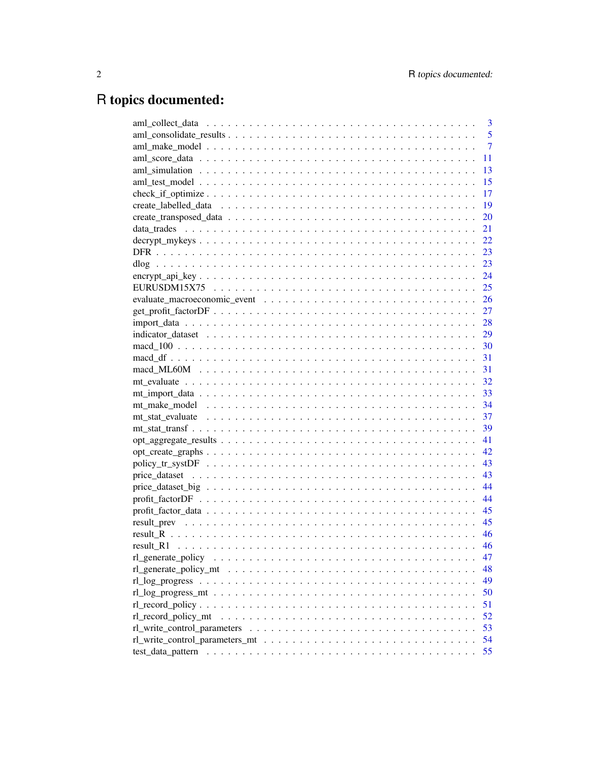# R topics documented:

|                     | 3              |
|---------------------|----------------|
|                     | 5              |
|                     | $\overline{7}$ |
|                     | 11             |
|                     | 13             |
|                     | 15             |
|                     | 17             |
|                     | 19             |
|                     | 20             |
|                     | 21             |
|                     | 22             |
|                     | 23             |
|                     | 23             |
|                     | 24             |
|                     | 25             |
|                     |                |
|                     |                |
|                     |                |
|                     |                |
|                     |                |
|                     |                |
|                     |                |
|                     |                |
|                     |                |
|                     |                |
|                     | 37             |
|                     | 39             |
|                     | 41             |
|                     | 42             |
|                     |                |
|                     |                |
|                     | 44             |
|                     | 44             |
|                     | 45             |
|                     | 45             |
|                     | 46             |
|                     | 46             |
| rl_generate_policy  | 47             |
|                     | 48             |
|                     | 49             |
|                     | 50             |
|                     | 51             |
| rl record policy mt | 52             |
|                     | 53             |
|                     | 54             |
|                     | 55             |
|                     |                |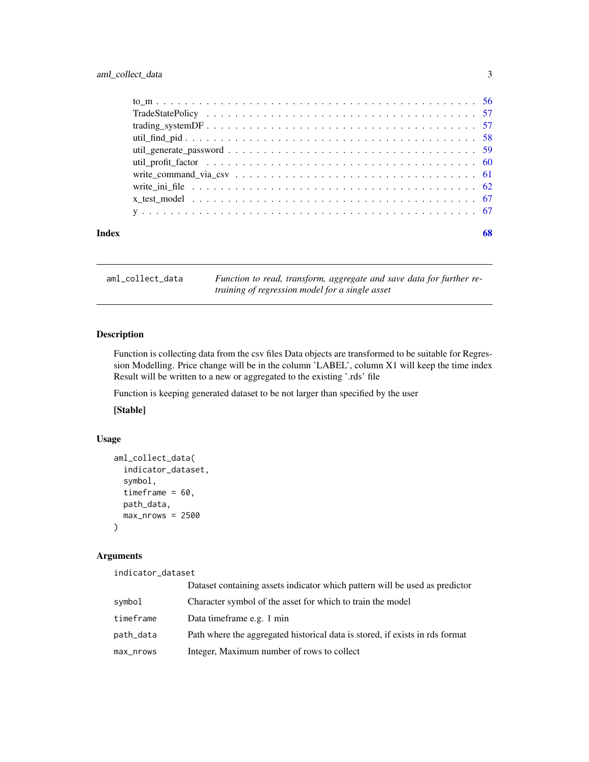# <span id="page-2-0"></span>aml\_collect\_data 3

| Index | 68 |
|-------|----|

aml\_collect\_data *Function to read, transform, aggregate and save data for further retraining of regression model for a single asset*

# Description

Function is collecting data from the csv files Data objects are transformed to be suitable for Regression Modelling. Price change will be in the column 'LABEL', column X1 will keep the time index Result will be written to a new or aggregated to the existing '.rds' file

Function is keeping generated dataset to be not larger than specified by the user

[Stable]

# Usage

```
aml_collect_data(
  indicator_dataset,
  symbol,
  timeframe = 60,
  path_data,
 max\_nrows = 2500)
```
# Arguments

indicator\_dataset

|           | Dataset containing assets indicator which pattern will be used as predictor  |
|-----------|------------------------------------------------------------------------------|
| symbol    | Character symbol of the asset for which to train the model                   |
| timeframe | Data timeframe e.g. 1 min                                                    |
| path_data | Path where the aggregated historical data is stored, if exists in rds format |
| max_nrows | Integer, Maximum number of rows to collect                                   |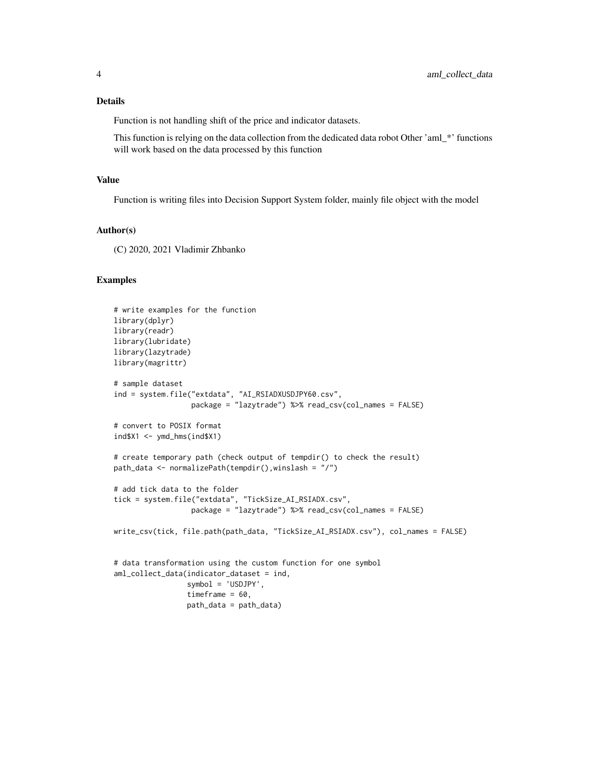# Details

Function is not handling shift of the price and indicator datasets.

This function is relying on the data collection from the dedicated data robot Other 'aml\_\*' functions will work based on the data processed by this function

#### Value

Function is writing files into Decision Support System folder, mainly file object with the model

#### Author(s)

(C) 2020, 2021 Vladimir Zhbanko

```
# write examples for the function
library(dplyr)
library(readr)
library(lubridate)
library(lazytrade)
library(magrittr)
# sample dataset
ind = system.file("extdata", "AI_RSIADXUSDJPY60.csv",
                  package = "lazytrade") %>% read_csv(col_names = FALSE)
# convert to POSIX format
ind$X1 < -ymd_hms(ind$X1)# create temporary path (check output of tempdir() to check the result)
path_data <- normalizePath(tempdir(),winslash = "/")
# add tick data to the folder
tick = system.file("extdata", "TickSize_AI_RSIADX.csv",
                  package = "lazytrade") %>% read_csv(col_names = FALSE)
write_csv(tick, file.path(path_data, "TickSize_AI_RSIADX.csv"), col_names = FALSE)
# data transformation using the custom function for one symbol
aml_collect_data(indicator_dataset = ind,
                 symbol = 'USDJPY',
                 timeframe = 60.
                 path_data = path_data)
```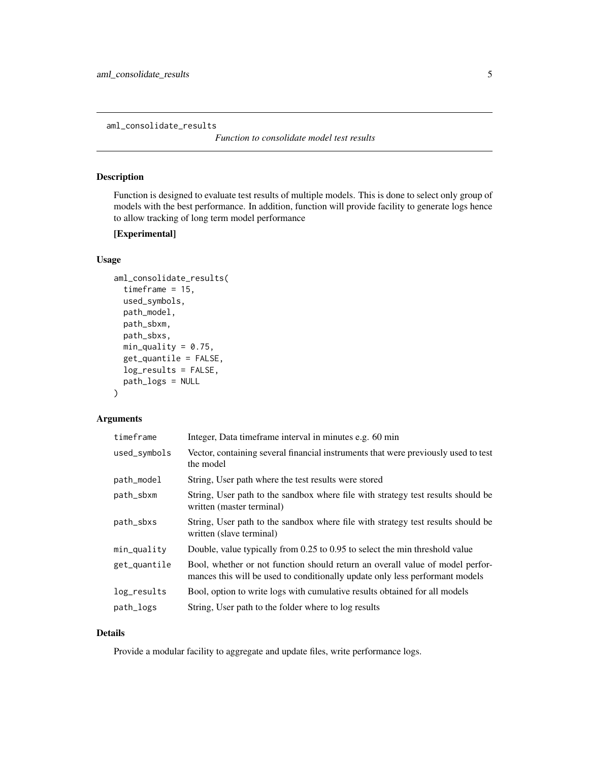<span id="page-4-0"></span>aml\_consolidate\_results

*Function to consolidate model test results*

# Description

Function is designed to evaluate test results of multiple models. This is done to select only group of models with the best performance. In addition, function will provide facility to generate logs hence to allow tracking of long term model performance

# [Experimental]

# Usage

```
aml_consolidate_results(
  timeframe = 15,
  used_symbols,
 path_model,
 path_sbxm,
 path_sbxs,
 min\_quality = 0.75,
 get_quantile = FALSE,
 log_results = FALSE,
 path_logs = NULL
)
```
# Arguments

| timeframe    | Integer, Data timeframe interval in minutes e.g. 60 min                                                                                                       |
|--------------|---------------------------------------------------------------------------------------------------------------------------------------------------------------|
| used_symbols | Vector, containing several financial instruments that were previously used to test<br>the model                                                               |
| path_model   | String, User path where the test results were stored                                                                                                          |
| path_sbxm    | String, User path to the sandbox where file with strategy test results should be<br>written (master terminal)                                                 |
| path_sbxs    | String, User path to the sandbox where file with strategy test results should be<br>written (slave terminal)                                                  |
| $min_$ quad  | Double, value typically from 0.25 to 0.95 to select the min threshold value                                                                                   |
| get_quantile | Bool, whether or not function should return an overall value of model perfor-<br>mances this will be used to conditionally update only less performant models |
| log_results  | Bool, option to write logs with cumulative results obtained for all models                                                                                    |
| path_logs    | String, User path to the folder where to log results                                                                                                          |

# Details

Provide a modular facility to aggregate and update files, write performance logs.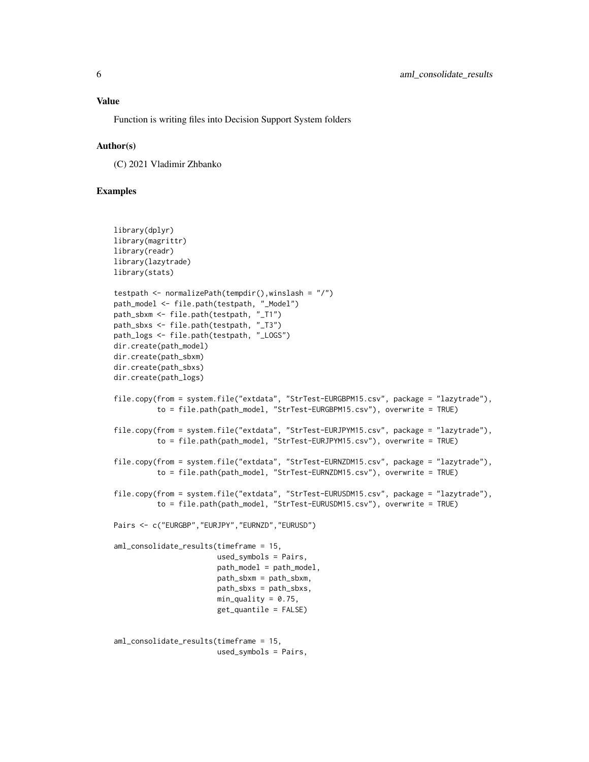Function is writing files into Decision Support System folders

#### Author(s)

(C) 2021 Vladimir Zhbanko

```
library(dplyr)
library(magrittr)
library(readr)
library(lazytrade)
library(stats)
testpath <- normalizePath(tempdir(),winslash = "/")
path_model <- file.path(testpath, "_Model")
path_sbxm <- file.path(testpath, "_T1")
path_sbxs <- file.path(testpath, "_T3")
path_logs <- file.path(testpath, "_LOGS")
dir.create(path_model)
dir.create(path_sbxm)
dir.create(path_sbxs)
dir.create(path_logs)
file.copy(from = system.file("extdata", "StrTest-EURGBPM15.csv", package = "lazytrade"),
          to = file.path(path_model, "StrTest-EURGBPM15.csv"), overwrite = TRUE)
file.copy(from = system.file("extdata", "StrTest-EURJPYM15.csv", package = "lazytrade"),
          to = file.path(path_model, "StrTest-EURJPYM15.csv"), overwrite = TRUE)
file.copy(from = system.file("extdata", "StrTest-EURNZDM15.csv", package = "lazytrade"),
          to = file.path(path_model, "StrTest-EURNZDM15.csv"), overwrite = TRUE)
file.copy(from = system.file("extdata", "StrTest-EURUSDM15.csv", package = "lazytrade"),
          to = file.path(path_model, "StrTest-EURUSDM15.csv"), overwrite = TRUE)
Pairs <- c("EURGBP","EURJPY","EURNZD","EURUSD")
aml_consolidate_results(timeframe = 15,
                        used_symbols = Pairs,
                        path_model = path_model,
                        path_sbxm = path_sbxm,
                        path_sbxs = path_sbxs,
                        min\_quality = 0.75,
                        get_quantile = FALSE)
aml_consolidate_results(timeframe = 15,
                        used_symbols = Pairs,
```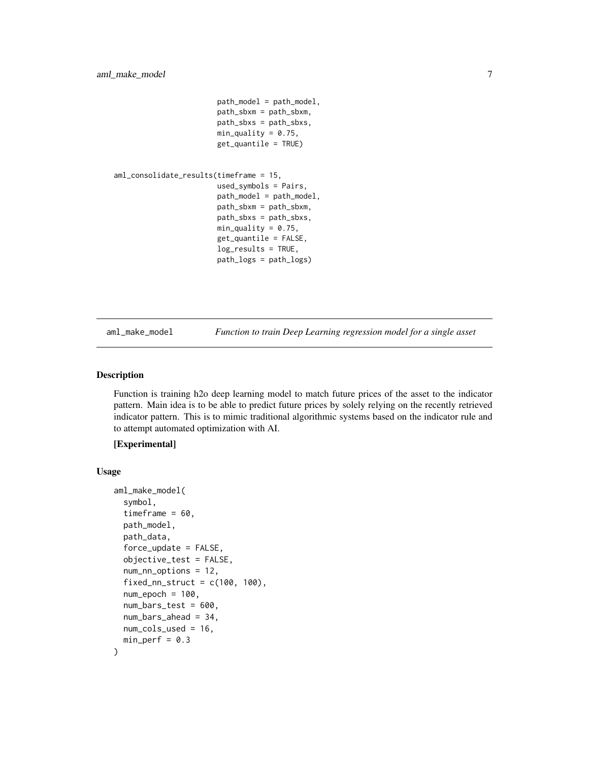```
path_model = path_model,
path_sbxm = path_sbxm,
path_sbxs = path_sbxs,
min\_quality = 0.75,
get_quantile = TRUE)
```

```
aml_consolidate_results(timeframe = 15,
                        used_symbols = Pairs,
                        path_model = path_model,
                        path_sbxm = path_sbxm,
                        path_sbxs = path_sbxs,
                        min\_quality = 0.75,
                        get_quantile = FALSE,
                        log_results = TRUE,
                        path_logs = path_logs)
```
aml\_make\_model *Function to train Deep Learning regression model for a single asset*

# Description

Function is training h2o deep learning model to match future prices of the asset to the indicator pattern. Main idea is to be able to predict future prices by solely relying on the recently retrieved indicator pattern. This is to mimic traditional algorithmic systems based on the indicator rule and to attempt automated optimization with AI.

# [Experimental]

#### Usage

```
aml_make_model(
  symbol,
  timeframe = 60,
  path_model,
 path_data,
  force\_update = FALSE,objective_test = FALSE,
  num_nn_options = 12,
  fixed_nn_struct = c(100, 100),
  num\_epoch = 100,
  num_bars_test = 600,
  num_bars_ahead = 34,
 num_cols_used = 16,
  min\_perf = 0.3)
```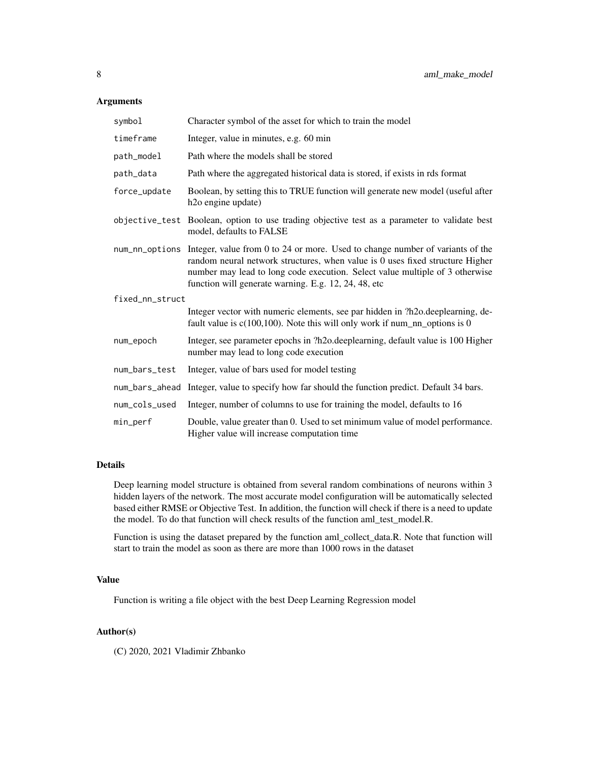# Arguments

| symbol          | Character symbol of the asset for which to train the model                                                                                                                                                                                                                                                            |
|-----------------|-----------------------------------------------------------------------------------------------------------------------------------------------------------------------------------------------------------------------------------------------------------------------------------------------------------------------|
| timeframe       | Integer, value in minutes, e.g. 60 min                                                                                                                                                                                                                                                                                |
| path_model      | Path where the models shall be stored                                                                                                                                                                                                                                                                                 |
| path_data       | Path where the aggregated historical data is stored, if exists in rds format                                                                                                                                                                                                                                          |
| force_update    | Boolean, by setting this to TRUE function will generate new model (useful after<br>h <sub>2</sub> o engine update)                                                                                                                                                                                                    |
|                 | objective_test Boolean, option to use trading objective test as a parameter to validate best<br>model, defaults to FALSE                                                                                                                                                                                              |
|                 | num_nn_options Integer, value from 0 to 24 or more. Used to change number of variants of the<br>random neural network structures, when value is 0 uses fixed structure Higher<br>number may lead to long code execution. Select value multiple of 3 otherwise<br>function will generate warning. E.g. 12, 24, 48, etc |
| fixed_nn_struct |                                                                                                                                                                                                                                                                                                                       |
|                 | Integer vector with numeric elements, see par hidden in ?h2o.deeplearning, de-<br>fault value is $c(100,100)$ . Note this will only work if num_nn_options is 0                                                                                                                                                       |
| num_epoch       | Integer, see parameter epochs in ?h2o.deeplearning, default value is 100 Higher<br>number may lead to long code execution                                                                                                                                                                                             |
| num_bars_test   | Integer, value of bars used for model testing                                                                                                                                                                                                                                                                         |
| num_bars_ahead  | Integer, value to specify how far should the function predict. Default 34 bars.                                                                                                                                                                                                                                       |
| num_cols_used   | Integer, number of columns to use for training the model, defaults to 16                                                                                                                                                                                                                                              |
| $min\_perf$     | Double, value greater than 0. Used to set minimum value of model performance.<br>Higher value will increase computation time                                                                                                                                                                                          |

# Details

Deep learning model structure is obtained from several random combinations of neurons within 3 hidden layers of the network. The most accurate model configuration will be automatically selected based either RMSE or Objective Test. In addition, the function will check if there is a need to update the model. To do that function will check results of the function aml\_test\_model.R.

Function is using the dataset prepared by the function aml\_collect\_data.R. Note that function will start to train the model as soon as there are more than 1000 rows in the dataset

# Value

Function is writing a file object with the best Deep Learning Regression model

# Author(s)

(C) 2020, 2021 Vladimir Zhbanko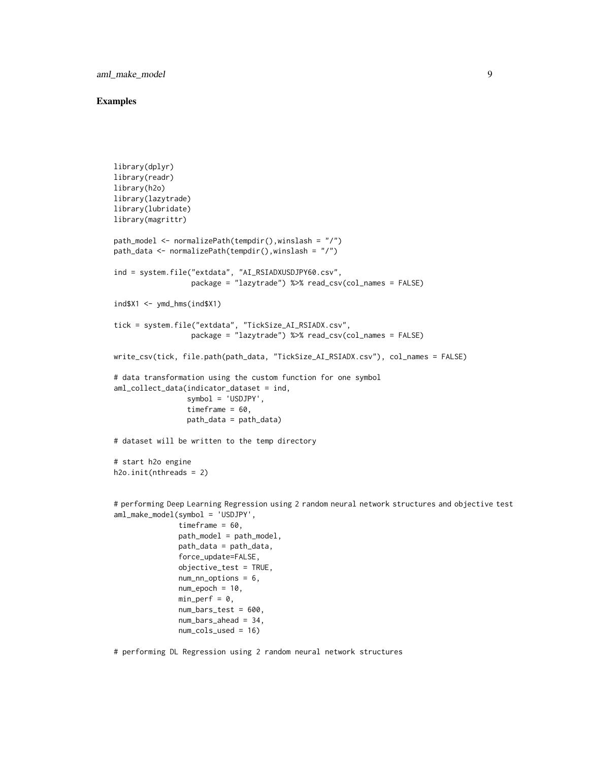aml\_make\_model 9

#### Examples

```
library(dplyr)
library(readr)
library(h2o)
library(lazytrade)
library(lubridate)
library(magrittr)
path_model <- normalizePath(tempdir(),winslash = "/")
path_data <- normalizePath(tempdir(),winslash = "/")
ind = system.file("extdata", "AI_RSIADXUSDJPY60.csv",
                  package = "lazytrade") %>% read_csv(col_names = FALSE)
ind$X1 <- ymd_hms(ind$X1)
tick = system.file("extdata", "TickSize_AI_RSIADX.csv",
                  package = "lazytrade") %>% read_csv(col_names = FALSE)
write_csv(tick, file.path(path_data, "TickSize_AI_RSIADX.csv"), col_names = FALSE)
# data transformation using the custom function for one symbol
aml_collect_data(indicator_dataset = ind,
                 symbol = 'USDJPY',
                 timeframe = 60,
                 path_data = path_data)
# dataset will be written to the temp directory
# start h2o engine
h2o.init(nthreads = 2)
# performing Deep Learning Regression using 2 random neural network structures and objective test
aml_make_model(symbol = 'USDJPY',
               timeframe = 60,
               path_model = path_model,
               path_data = path_data,
               force_update=FALSE,
               objective_test = TRUE,
               num_nn_options = 6,
               num\_epoch = 10,
               min\_perf = 0,
               num_bars_test = 600,
               num_bars_ahead = 34,
               num_cols_used = 16)
```
# performing DL Regression using 2 random neural network structures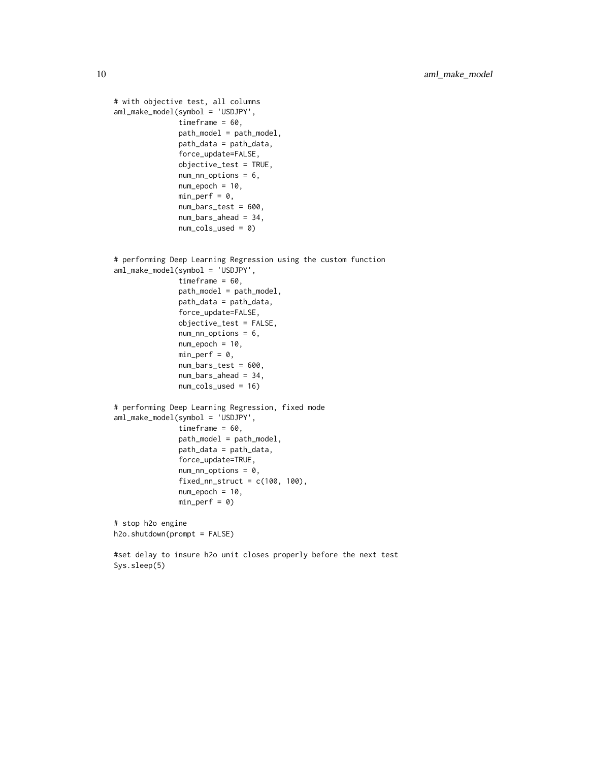```
# with objective test, all columns
aml_make_model(symbol = 'USDJPY',
               timeframe = 60,
               path_model = path_model,
               path_data = path_data,
               force_update=FALSE,
               objective_test = TRUE,
               num_nn_options = 6,
               num\_epoch = 10,
               min\_perf = 0,
               num_bars_test = 600,
               num_bars_ahead = 34,
               num_cols_used = 0)
# performing Deep Learning Regression using the custom function
aml_make_model(symbol = 'USDJPY',
               timeframe = 60,
               path_model = path_model,
               path_data = path_data,
               force_update=FALSE,
               objective_test = FALSE,
               num_nn_options = 6,
               num_epoch = 10,
               min\_perf = 0,
               num_bars_test = 600,
               num_bars_ahead = 34,
               num_cols_used = 16)
# performing Deep Learning Regression, fixed mode
aml_make_model(symbol = 'USDJPY',
               timeframe = 60,
               path_model = path_model,
               path_data = path_data,
               force_update=TRUE,
               num_nn_options = 0,
               fixed_nn_struct = c(100, 100),
               num\_epoch = 10,
               min\_perf = 0)# stop h2o engine
h2o.shutdown(prompt = FALSE)
#set delay to insure h2o unit closes properly before the next test
```
Sys.sleep(5)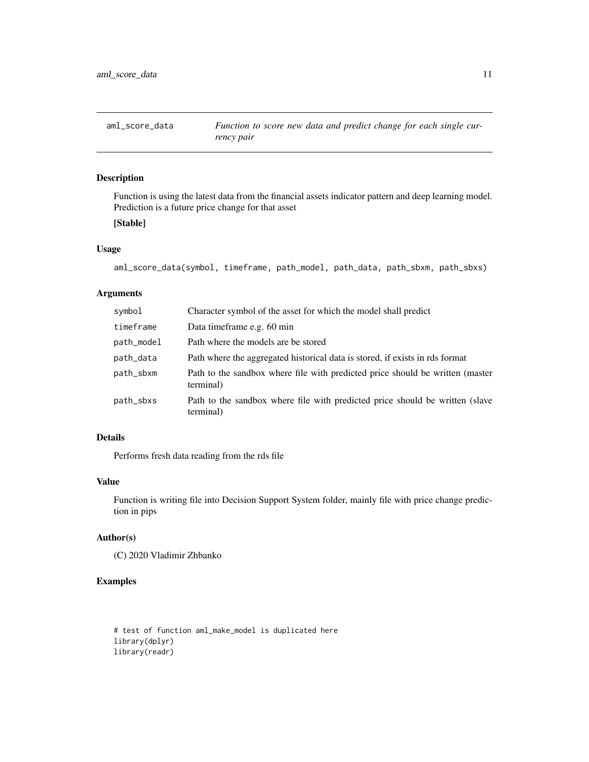<span id="page-10-0"></span>

# Description

Function is using the latest data from the financial assets indicator pattern and deep learning model. Prediction is a future price change for that asset

# [Stable]

# Usage

```
aml_score_data(symbol, timeframe, path_model, path_data, path_sbxm, path_sbxs)
```
# Arguments

| Character symbol of the asset for which the model shall predict                            |
|--------------------------------------------------------------------------------------------|
| Data timeframe e.g. 60 min                                                                 |
| Path where the models are be stored                                                        |
| Path where the aggregated historical data is stored, if exists in rds format               |
| Path to the sandbox where file with predicted price should be written (master<br>terminal) |
| Path to the sandbox where file with predicted price should be written (slave<br>terminal)  |
|                                                                                            |

# Details

Performs fresh data reading from the rds file

# Value

Function is writing file into Decision Support System folder, mainly file with price change prediction in pips

#### Author(s)

(C) 2020 Vladimir Zhbanko

# Examples

# test of function aml\_make\_model is duplicated here library(dplyr) library(readr)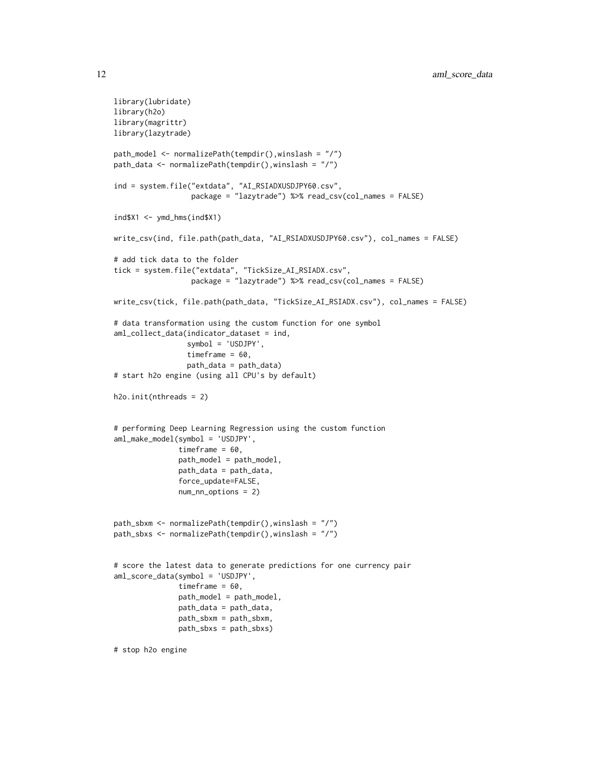```
library(lubridate)
library(h2o)
library(magrittr)
library(lazytrade)
path_model <- normalizePath(tempdir(),winslash = "/")
path_data <- normalizePath(tempdir(),winslash = "/")
ind = system.file("extdata", "AI_RSIADXUSDJPY60.csv",
                  package = "lazytrade") %>% read_csv(col_names = FALSE)
ind$X1 <- ymd_hms(ind$X1)
write_csv(ind, file.path(path_data, "AI_RSIADXUSDJPY60.csv"), col_names = FALSE)
# add tick data to the folder
tick = system.file("extdata", "TickSize_AI_RSIADX.csv",
                  package = "lazytrade") %>% read_csv(col_names = FALSE)
write_csv(tick, file.path(path_data, "TickSize_AI_RSIADX.csv"), col_names = FALSE)
# data transformation using the custom function for one symbol
aml_collect_data(indicator_dataset = ind,
                 symbol = 'USDJPY',
                 timeframe = 60,
                 path_data = path_data)
# start h2o engine (using all CPU's by default)
h2o.init(nthreads = 2)
# performing Deep Learning Regression using the custom function
aml_make_model(symbol = 'USDJPY',
               timeframe = 60,
               path_model = path_model,
               path_data = path_data,
               force_update=FALSE,
               num_nn_options = 2)
path_sbxm <- normalizePath(tempdir(),winslash = "/")
path_sbxs <- normalizePath(tempdir(),winslash = "/")
# score the latest data to generate predictions for one currency pair
aml_score_data(symbol = 'USDJPY',
               timeframe = 60,
               path_model = path_model,
               path_data = path_data,
               path_sbxm = path_sbxm,
               path_sbxs = path_sbxs)
```
# stop h2o engine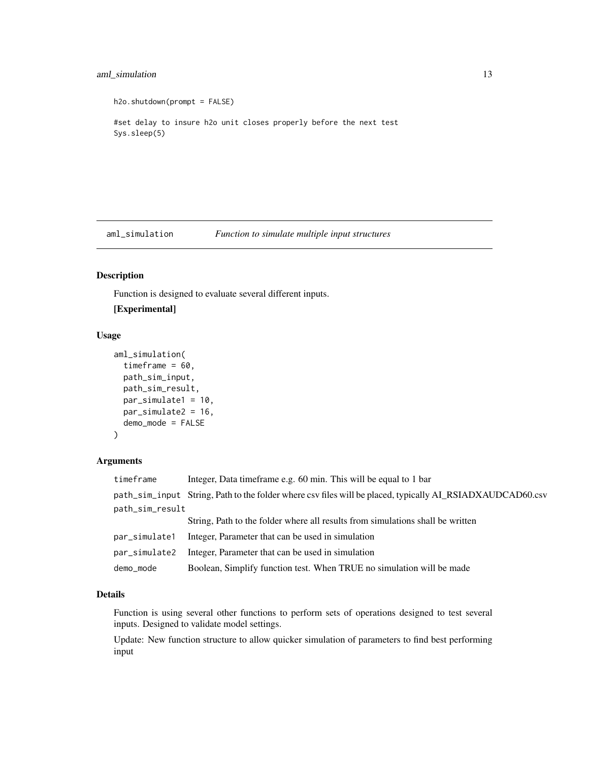# <span id="page-12-0"></span>aml\_simulation 13

```
h2o.shutdown(prompt = FALSE)
#set delay to insure h2o unit closes properly before the next test
Sys.sleep(5)
```
aml\_simulation *Function to simulate multiple input structures*

# Description

Function is designed to evaluate several different inputs.

#### [Experimental]

# Usage

```
aml_simulation(
  timeframe = 60,
 path_sim_input,
 path_sim_result,
 par_simulate1 = 10,
 par_simulate2 = 16,
  demo_mode = FALSE
)
```
# Arguments

| timeframe       | Integer, Data timeframe e.g. 60 min. This will be equal to 1 bar                                          |
|-----------------|-----------------------------------------------------------------------------------------------------------|
|                 | path_sim_input String, Path to the folder where csv files will be placed, typically AI_RSIADXAUDCAD60.csv |
| path_sim_result |                                                                                                           |
|                 | String, Path to the folder where all results from simulations shall be written                            |
| par_simulate1   | Integer, Parameter that can be used in simulation                                                         |
| par_simulate2   | Integer, Parameter that can be used in simulation                                                         |
| demo_mode       | Boolean, Simplify function test. When TRUE no simulation will be made                                     |

# Details

Function is using several other functions to perform sets of operations designed to test several inputs. Designed to validate model settings.

Update: New function structure to allow quicker simulation of parameters to find best performing input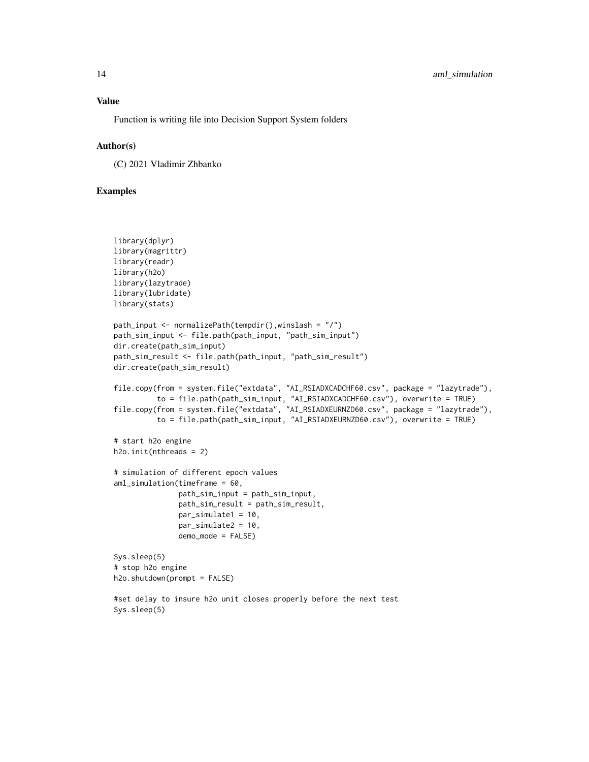# Value

Function is writing file into Decision Support System folders

#### Author(s)

(C) 2021 Vladimir Zhbanko

```
library(dplyr)
library(magrittr)
library(readr)
library(h2o)
library(lazytrade)
library(lubridate)
library(stats)
path_input <- normalizePath(tempdir(),winslash = "/")
path_sim_input <- file.path(path_input, "path_sim_input")
dir.create(path_sim_input)
path_sim_result <- file.path(path_input, "path_sim_result")
dir.create(path_sim_result)
file.copy(from = system.file("extdata", "AI_RSIADXCADCHF60.csv", package = "lazytrade"),
          to = file.path(path_sim_input, "AI_RSIADXCADCHF60.csv"), overwrite = TRUE)
file.copy(from = system.file("extdata", "AI_RSIADXEURNZD60.csv", package = "lazytrade"),
          to = file.path(path_sim_input, "AI_RSIADXEURNZD60.csv"), overwrite = TRUE)
# start h2o engine
h2o.init(nthreads = 2)
# simulation of different epoch values
aml_simulation(timeframe = 60,
               path_sim_input = path_sim_input,
               path_sim_result = path_sim_result,
               par_simulate1 = 10,
               par_simulate2 = 10,
               demo_mode = FALSE)
Sys.sleep(5)
# stop h2o engine
h2o.shutdown(prompt = FALSE)
#set delay to insure h2o unit closes properly before the next test
Sys.sleep(5)
```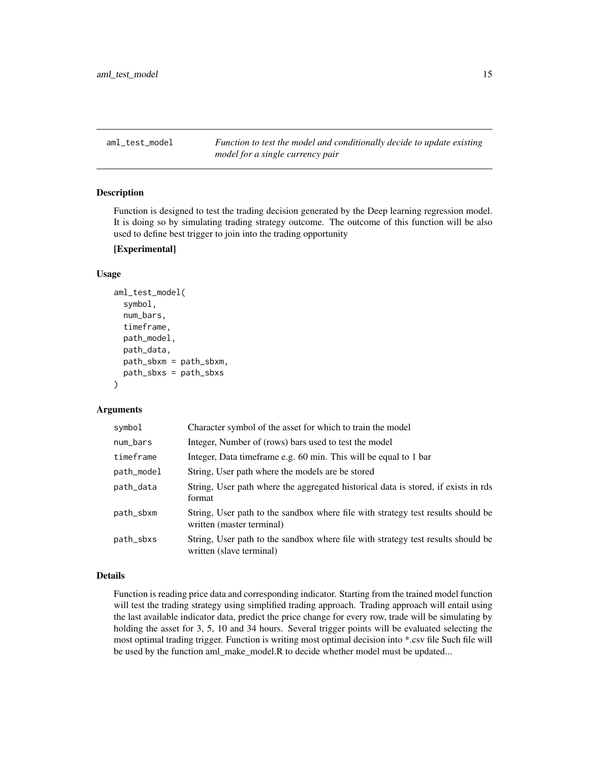<span id="page-14-0"></span>aml\_test\_model *Function to test the model and conditionally decide to update existing model for a single currency pair*

#### Description

Function is designed to test the trading decision generated by the Deep learning regression model. It is doing so by simulating trading strategy outcome. The outcome of this function will be also used to define best trigger to join into the trading opportunity

#### [Experimental]

# Usage

```
aml_test_model(
  symbol,
  num_bars,
  timeframe,
 path_model,
  path_data,
 path_sbxm = path_sbxm,
 path_sbxs = path_sbxs
)
```
#### Arguments

| symbol     | Character symbol of the asset for which to train the model                                                    |
|------------|---------------------------------------------------------------------------------------------------------------|
| num_bars   | Integer, Number of (rows) bars used to test the model                                                         |
| timeframe  | Integer, Data timeframe e.g. 60 min. This will be equal to 1 bar                                              |
| path_model | String, User path where the models are be stored                                                              |
| path_data  | String, User path where the aggregated historical data is stored, if exists in rds<br>format                  |
| path_sbxm  | String, User path to the sandbox where file with strategy test results should be<br>written (master terminal) |
| path_sbxs  | String, User path to the sandbox where file with strategy test results should be<br>written (slave terminal)  |

### Details

Function is reading price data and corresponding indicator. Starting from the trained model function will test the trading strategy using simplified trading approach. Trading approach will entail using the last available indicator data, predict the price change for every row, trade will be simulating by holding the asset for 3, 5, 10 and 34 hours. Several trigger points will be evaluated selecting the most optimal trading trigger. Function is writing most optimal decision into \*.csv file Such file will be used by the function aml\_make\_model.R to decide whether model must be updated...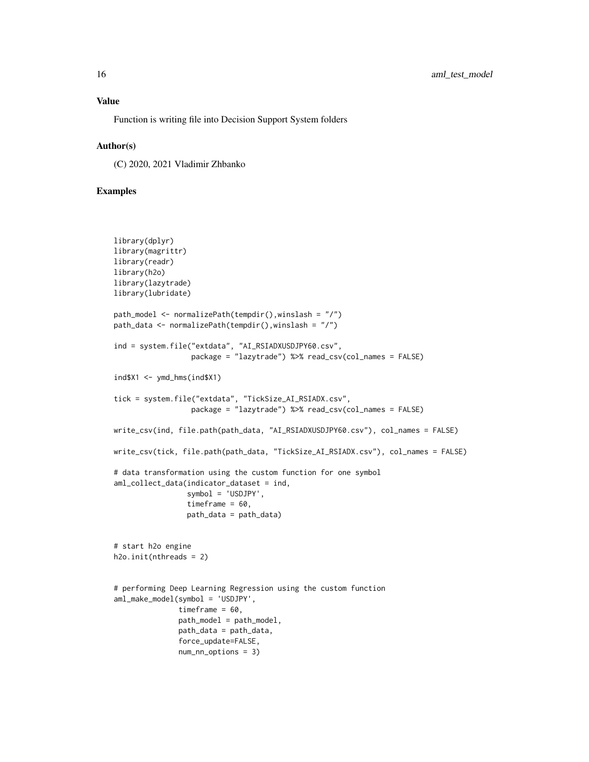Function is writing file into Decision Support System folders

#### Author(s)

(C) 2020, 2021 Vladimir Zhbanko

```
library(dplyr)
library(magrittr)
library(readr)
library(h2o)
library(lazytrade)
library(lubridate)
path_model <- normalizePath(tempdir(),winslash = "/")
path_data <- normalizePath(tempdir(),winslash = "/")
ind = system.file("extdata", "AI_RSIADXUSDJPY60.csv",
                  package = "lazytrade") %>% read_csv(col_names = FALSE)
ind$X1 < -ymd_hms(ind$X1)tick = system.file("extdata", "TickSize_AI_RSIADX.csv",
                  package = "lazytrade") %>% read_csv(col_names = FALSE)
write_csv(ind, file.path(path_data, "AI_RSIADXUSDJPY60.csv"), col_names = FALSE)
write_csv(tick, file.path(path_data, "TickSize_AI_RSIADX.csv"), col_names = FALSE)
# data transformation using the custom function for one symbol
aml_collect_data(indicator_dataset = ind,
                 symbol = 'USDJPY',
                 timeframe = 60,
                 path_data = path_data)
# start h2o engine
h2o.init(nthreads = 2)
# performing Deep Learning Regression using the custom function
aml_make_model(symbol = 'USDJPY',
               timeframe = 60,
               path_model = path_model,
               path_data = path_data,
               force_update=FALSE,
               num_nn_options = 3)
```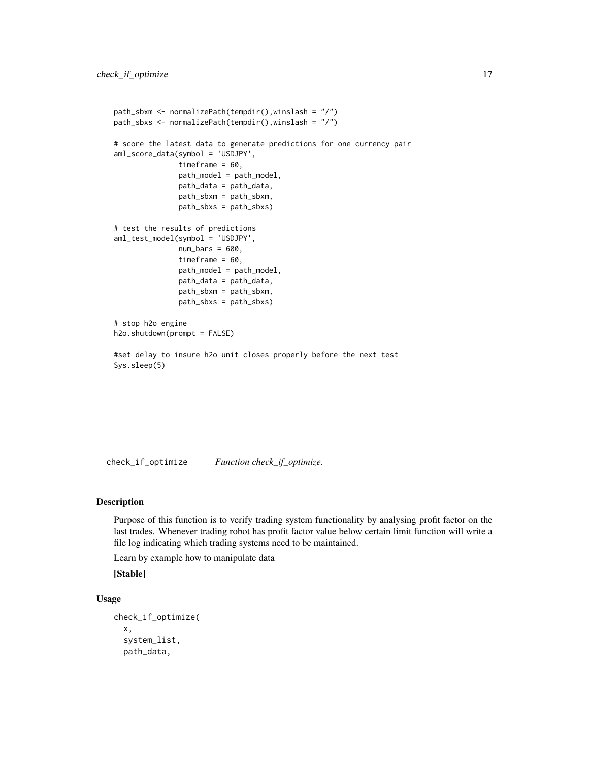```
path_sbxm <- normalizePath(tempdir(),winslash = "/")
path_sbxs <- normalizePath(tempdir(),winslash = "/")
# score the latest data to generate predictions for one currency pair
aml_score_data(symbol = 'USDJPY',
              timeframe = 60,
              path_model = path_model,
              path_data = path_data,
              path_sbxm = path_sbxm,
              path_sbxs = path_sbxs)
# test the results of predictions
aml_test_model(symbol = 'USDJPY',
              num\_bars = 600,timeframe = 60,
              path_model = path_model,
               path_data = path_data,
               path_sbxm = path_sbxm,
               path_sbxs = path_sbxs)
# stop h2o engine
h2o.shutdown(prompt = FALSE)
#set delay to insure h2o unit closes properly before the next test
Sys.sleep(5)
```
check\_if\_optimize *Function check\_if\_optimize.*

#### Description

Purpose of this function is to verify trading system functionality by analysing profit factor on the last trades. Whenever trading robot has profit factor value below certain limit function will write a file log indicating which trading systems need to be maintained.

Learn by example how to manipulate data

[Stable]

#### Usage

```
check_if_optimize(
  x,
  system_list,
  path_data,
```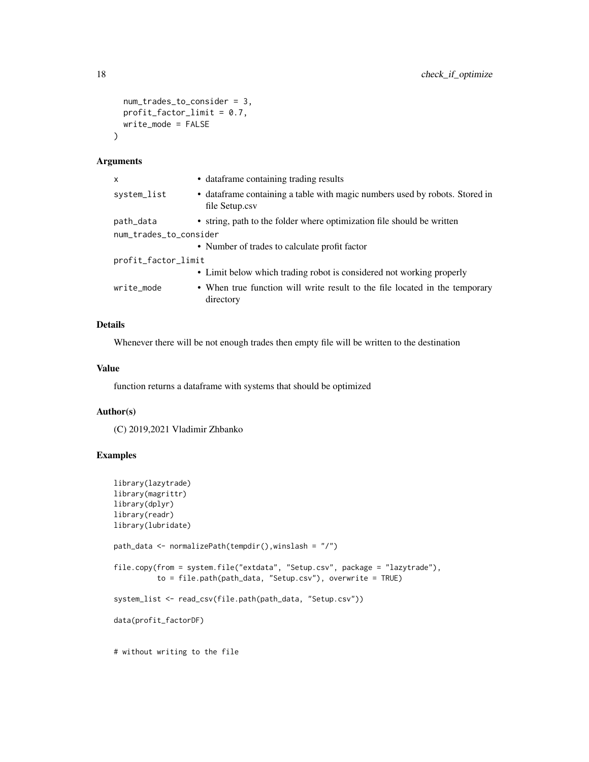```
num_trades_to_consider = 3,
 profit_factor_limit = 0.7,
 write_mode = FALSE
\mathcal{L}
```
#### Arguments

| x                      | • dataframe containing trading results                                                         |
|------------------------|------------------------------------------------------------------------------------------------|
| system_list            | • data frame containing a table with magic numbers used by robots. Stored in<br>file Setup.csv |
| path_data              | • string, path to the folder where optimization file should be written                         |
| num_trades_to_consider |                                                                                                |
|                        | • Number of trades to calculate profit factor                                                  |
| profit_factor_limit    |                                                                                                |
|                        | • Limit below which trading robot is considered not working properly                           |
| write_mode             | • When true function will write result to the file located in the temporary<br>directory       |

# Details

Whenever there will be not enough trades then empty file will be written to the destination

#### Value

function returns a dataframe with systems that should be optimized

# Author(s)

(C) 2019,2021 Vladimir Zhbanko

```
library(lazytrade)
library(magrittr)
library(dplyr)
library(readr)
library(lubridate)
path_data <- normalizePath(tempdir(),winslash = "/")
file.copy(from = system.file("extdata", "Setup.csv", package = "lazytrade"),
          to = file.path(path_data, "Setup.csv"), overwrite = TRUE)
system_list <- read_csv(file.path(path_data, "Setup.csv"))
data(profit_factorDF)
# without writing to the file
```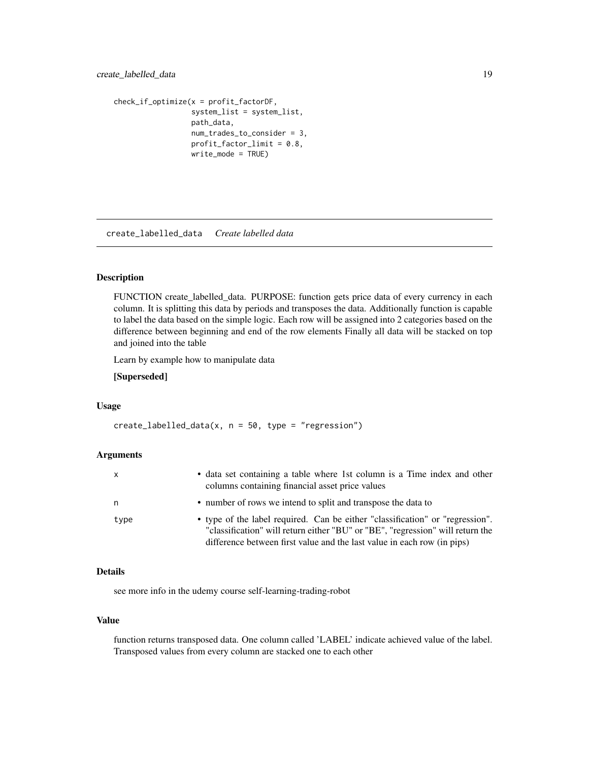```
check_if_optimize(x = profit_factorDF,
                 system_list = system_list,
                 path_data,
                  num_trades_to_consider = 3,
                  profit_factor_limit = 0.8,write_mode = TRUE)
```
create\_labelled\_data *Create labelled data*

#### Description

FUNCTION create\_labelled\_data. PURPOSE: function gets price data of every currency in each column. It is splitting this data by periods and transposes the data. Additionally function is capable to label the data based on the simple logic. Each row will be assigned into 2 categories based on the difference between beginning and end of the row elements Finally all data will be stacked on top and joined into the table

Learn by example how to manipulate data

#### [Superseded]

#### Usage

 $create\_labelled\_data(x, n = 50, type = "regression")$ 

#### Arguments

| x    | • data set containing a table where 1st column is a Time index and other<br>columns containing financial asset price values                                                                                                                |
|------|--------------------------------------------------------------------------------------------------------------------------------------------------------------------------------------------------------------------------------------------|
| n    | • number of rows we intend to split and transpose the data to                                                                                                                                                                              |
| type | • type of the label required. Can be either "classification" or "regression".<br>"classification" will return either "BU" or "BE", "regression" will return the<br>difference between first value and the last value in each row (in pips) |

# Details

see more info in the udemy course self-learning-trading-robot

# Value

function returns transposed data. One column called 'LABEL' indicate achieved value of the label. Transposed values from every column are stacked one to each other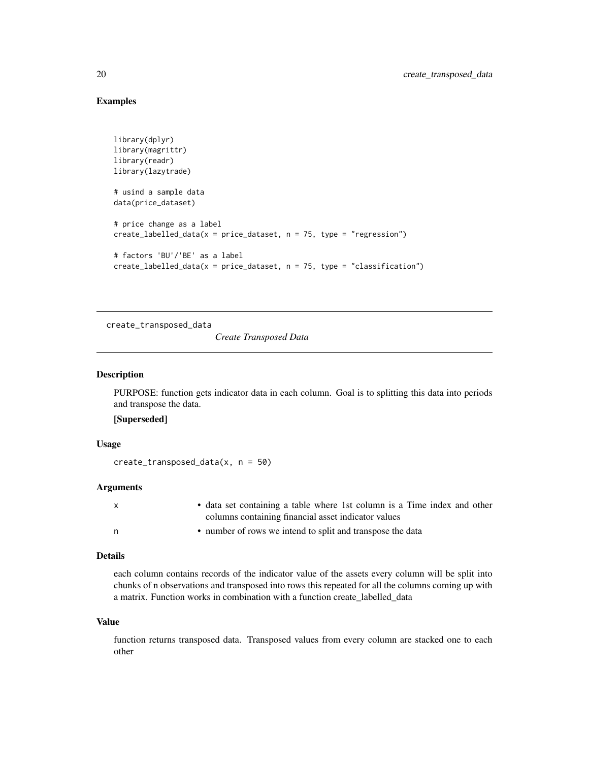# Examples

```
library(dplyr)
library(magrittr)
library(readr)
library(lazytrade)
# usind a sample data
data(price_dataset)
# price change as a label
create_labelled_data(x = price_dataset, n = 75, type = "regression")
# factors 'BU'/'BE' as a label
create\_labelled\_data(x = price\_dataset, n = 75, type = "classification")
```
create\_transposed\_data

*Create Transposed Data*

#### Description

PURPOSE: function gets indicator data in each column. Goal is to splitting this data into periods and transpose the data.

[Superseded]

#### Usage

create\_transposed\_data(x, n = 50)

#### **Arguments**

| $\mathsf{X}$ | • data set containing a table where 1st column is a Time index and other |
|--------------|--------------------------------------------------------------------------|
|              | columns containing financial asset indicator values                      |
| n,           | • number of rows we intend to split and transpose the data               |

#### Details

each column contains records of the indicator value of the assets every column will be split into chunks of n observations and transposed into rows this repeated for all the columns coming up with a matrix. Function works in combination with a function create\_labelled\_data

#### Value

function returns transposed data. Transposed values from every column are stacked one to each other

<span id="page-19-0"></span>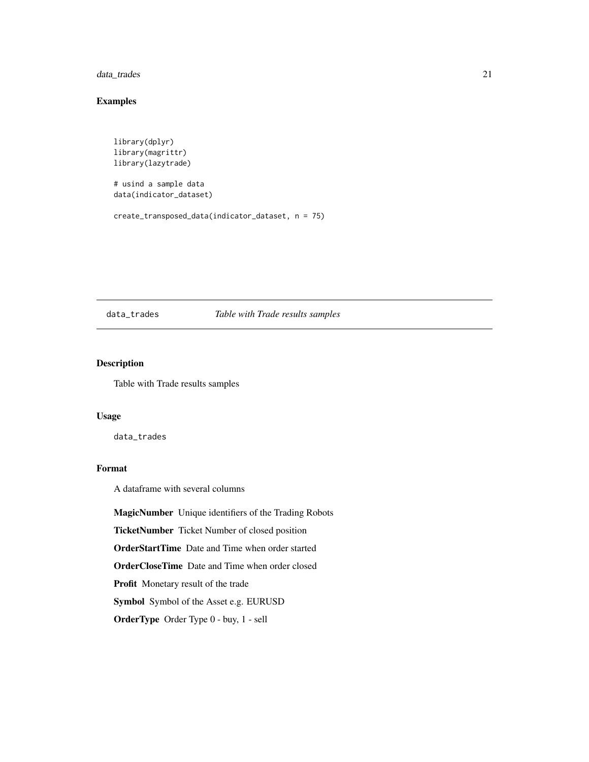<span id="page-20-0"></span>data\_trades 21

# Examples

```
library(dplyr)
library(magrittr)
library(lazytrade)
```
# usind a sample data data(indicator\_dataset)

```
create_transposed_data(indicator_dataset, n = 75)
```
#### data\_trades *Table with Trade results samples*

#### Description

Table with Trade results samples

#### Usage

data\_trades

# Format

A dataframe with several columns

MagicNumber Unique identifiers of the Trading Robots

TicketNumber Ticket Number of closed position

OrderStartTime Date and Time when order started

OrderCloseTime Date and Time when order closed

Profit Monetary result of the trade

Symbol Symbol of the Asset e.g. EURUSD

OrderType Order Type 0 - buy, 1 - sell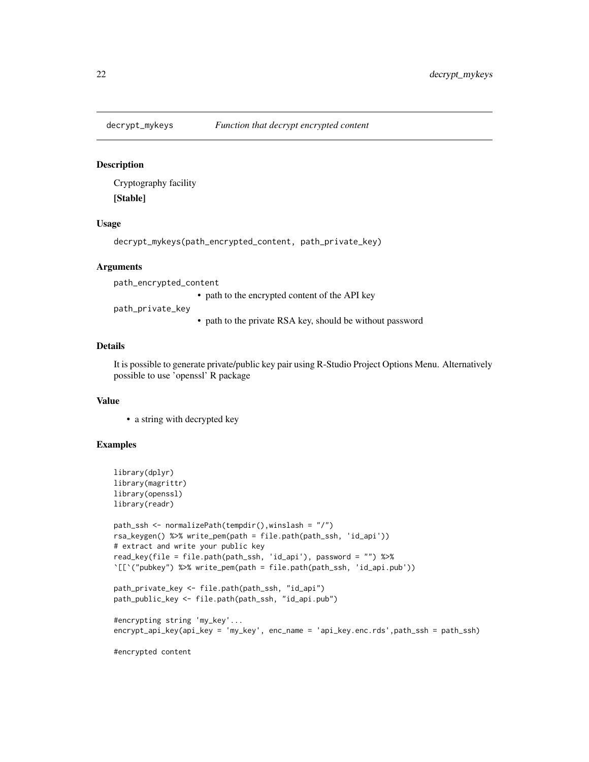<span id="page-21-0"></span>

#### **Description**

Cryptography facility [Stable]

#### Usage

decrypt\_mykeys(path\_encrypted\_content, path\_private\_key)

#### Arguments

path\_encrypted\_content

• path to the encrypted content of the API key

path\_private\_key

• path to the private RSA key, should be without password

# Details

It is possible to generate private/public key pair using R-Studio Project Options Menu. Alternatively possible to use 'openssl' R package

#### Value

• a string with decrypted key

```
library(dplyr)
library(magrittr)
library(openssl)
library(readr)
path_ssh <- normalizePath(tempdir(),winslash = "/")
rsa_keygen() %>% write_pem(path = file.path(path_ssh, 'id_api'))
# extract and write your public key
read_key(file = file.path(path_ssh, 'id_api'), password = "") %>%
`[[`("pubkey") %>% write_pem(path = file.path(path_ssh, 'id_api.pub'))
path_private_key <- file.path(path_ssh, "id_api")
path_public_key <- file.path(path_ssh, "id_api.pub")
#encrypting string 'my_key'...
encrypt_api_key(api_key = 'my_key', enc_name = 'api_key.enc.rds',path_ssh = path_ssh)
#encrypted content
```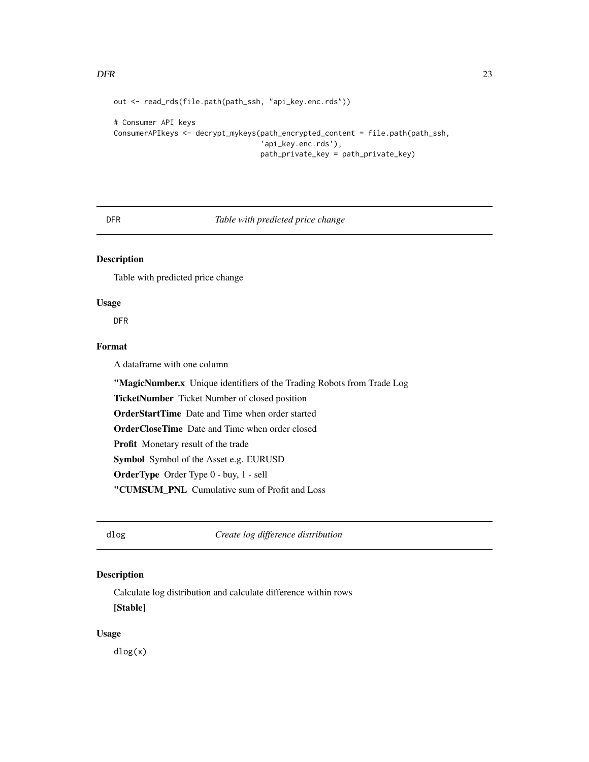#### <span id="page-22-0"></span> $DFR$  23

```
out <- read_rds(file.path(path_ssh, "api_key.enc.rds"))
```

```
# Consumer API keys
ConsumerAPIkeys <- decrypt_mykeys(path_encrypted_content = file.path(path_ssh,
                                  'api_key.enc.rds'),
                                  path_private_key = path_private_key)
```
#### DFR *Table with predicted price change*

# Description

Table with predicted price change

# Usage

DFR

# Format

A dataframe with one column

"MagicNumber.x Unique identifiers of the Trading Robots from Trade Log TicketNumber Ticket Number of closed position OrderStartTime Date and Time when order started OrderCloseTime Date and Time when order closed Profit Monetary result of the trade Symbol Symbol of the Asset e.g. EURUSD OrderType Order Type 0 - buy, 1 - sell "CUMSUM\_PNL Cumulative sum of Profit and Loss

dlog *Create log difference distribution*

# Description

Calculate log distribution and calculate difference within rows [Stable]

#### Usage

dlog(x)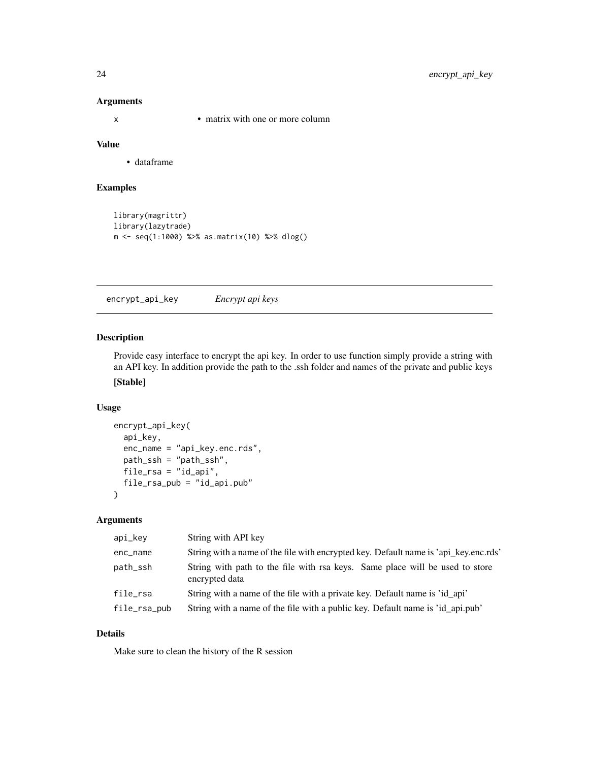# Arguments

x • matrix with one or more column

# Value

• dataframe

#### Examples

```
library(magrittr)
library(lazytrade)
m <- seq(1:1000) %>% as.matrix(10) %>% dlog()
```
encrypt\_api\_key *Encrypt api keys*

### Description

Provide easy interface to encrypt the api key. In order to use function simply provide a string with an API key. In addition provide the path to the .ssh folder and names of the private and public keys [Stable]

# Usage

```
encrypt_api_key(
  api_key,
 enc_name = "api_key.enc.rds",
 path_ssh = "path_ssh",
 file_rsa = "id_api",
  file_rsa_pub = "id_api.pub"
)
```
# Arguments

| api_key      | String with API key                                                                            |
|--------------|------------------------------------------------------------------------------------------------|
| enc_name     | String with a name of the file with encrypted key. Default name is 'api_key.enc.rds'           |
| path_ssh     | String with path to the file with rsa keys. Same place will be used to store<br>encrypted data |
| file_rsa     | String with a name of the file with a private key. Default name is 'id api'                    |
| file_rsa_pub | String with a name of the file with a public key. Default name is 'id_api.pub'                 |

# Details

Make sure to clean the history of the R session

<span id="page-23-0"></span>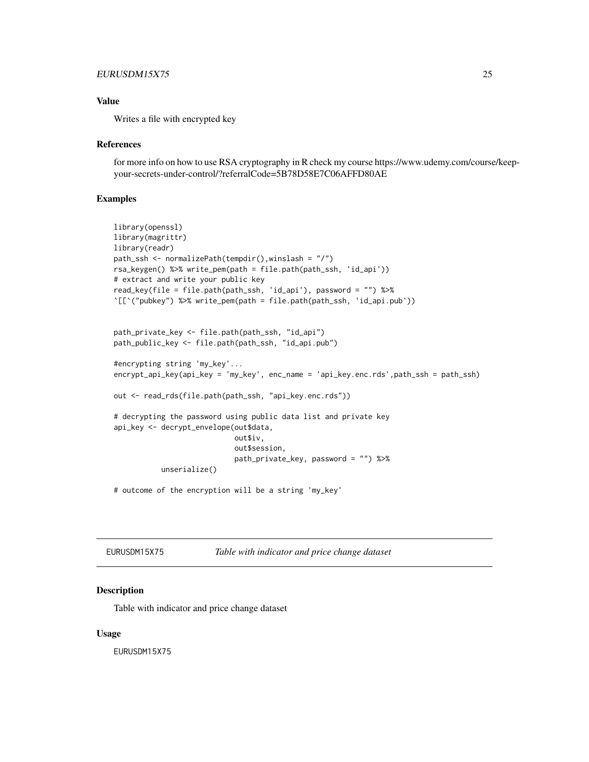# <span id="page-24-0"></span>EURUSDM15X75 25

# Value

Writes a file with encrypted key

#### References

for more info on how to use RSA cryptography in R check my course https://www.udemy.com/course/keepyour-secrets-under-control/?referralCode=5B78D58E7C06AFFD80AE

#### Examples

```
library(openssl)
library(magrittr)
library(readr)
path_ssh <- normalizePath(tempdir(),winslash = "/")
rsa_keygen() %>% write_pem(path = file.path(path_ssh, 'id_api'))
# extract and write your public key
read_key(file = file.path(path_ssh, 'id_api'), password = "") %>%
`[[`("pubkey") %>% write_pem(path = file.path(path_ssh, 'id_api.pub'))
path_private_key <- file.path(path_ssh, "id_api")
path_public_key <- file.path(path_ssh, "id_api.pub")
#encrypting string 'my_key'...
encrypt_api_key(api_key = 'my_key', enc_name = 'api_key.enc.rds',path_ssh = path_ssh)
out <- read_rds(file.path(path_ssh, "api_key.enc.rds"))
# decrypting the password using public data list and private key
api_key <- decrypt_envelope(out$data,
                            out$iv,
                            out$session,
                            path_private_key, password = "") %>%
           unserialize()
# outcome of the encryption will be a string 'my_key'
```
EURUSDM15X75 *Table with indicator and price change dataset*

#### Description

Table with indicator and price change dataset

#### Usage

EURUSDM15X75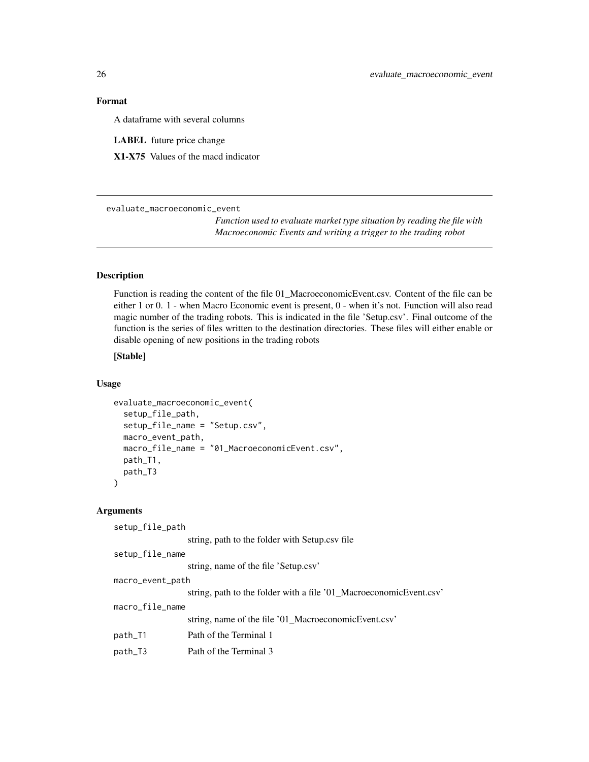# <span id="page-25-0"></span>Format

A dataframe with several columns

LABEL future price change

X1-X75 Values of the macd indicator

evaluate\_macroeconomic\_event

*Function used to evaluate market type situation by reading the file with Macroeconomic Events and writing a trigger to the trading robot*

# Description

Function is reading the content of the file 01\_MacroeconomicEvent.csv. Content of the file can be either 1 or 0. 1 - when Macro Economic event is present, 0 - when it's not. Function will also read magic number of the trading robots. This is indicated in the file 'Setup.csv'. Final outcome of the function is the series of files written to the destination directories. These files will either enable or disable opening of new positions in the trading robots

# [Stable]

#### Usage

```
evaluate_macroeconomic_event(
  setup_file_path,
  setup_file_name = "Setup.csv",
  macro_event_path,
  macro_file_name = "01_MacroeconomicEvent.csv",
 path_T1,
 path_T3
)
```
#### Arguments

| setup_file_path  |                                                                    |  |  |
|------------------|--------------------------------------------------------------------|--|--|
|                  | string, path to the folder with Setup.csv file                     |  |  |
| setup_file_name  |                                                                    |  |  |
|                  | string, name of the file 'Setup.csv'                               |  |  |
| macro_event_path |                                                                    |  |  |
|                  | string, path to the folder with a file '01_MacroeconomicEvent.csv' |  |  |
| macro_file_name  |                                                                    |  |  |
|                  | string, name of the file '01_MacroeconomicEvent.csv'               |  |  |
| path_T1          | Path of the Terminal 1                                             |  |  |
| path_T3          | Path of the Terminal 3                                             |  |  |
|                  |                                                                    |  |  |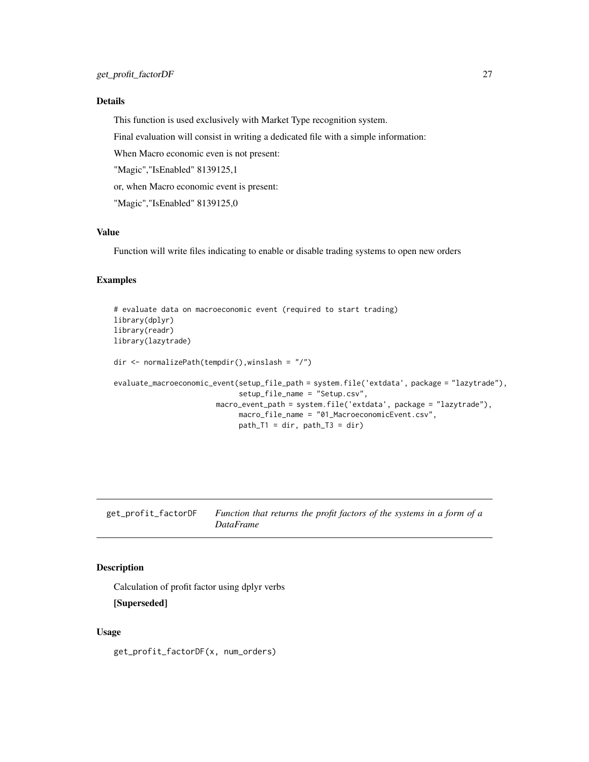# <span id="page-26-0"></span>Details

This function is used exclusively with Market Type recognition system.

Final evaluation will consist in writing a dedicated file with a simple information:

When Macro economic even is not present:

"Magic","IsEnabled" 8139125,1

or, when Macro economic event is present:

"Magic","IsEnabled" 8139125,0

# Value

Function will write files indicating to enable or disable trading systems to open new orders

# Examples

```
# evaluate data on macroeconomic event (required to start trading)
library(dplyr)
library(readr)
library(lazytrade)
dir <- normalizePath(tempdir(),winslash = "/")
evaluate_macroeconomic_event(setup_file_path = system.file('extdata', package = "lazytrade"),
                             setup_file_name = "Setup.csv",
                        macro_event_path = system.file('extdata', package = "lazytrade"),
                             macro_file_name = "01_MacroeconomicEvent.csv",
                             path_T1 = dir, path_T3 = dir)
```
get\_profit\_factorDF *Function that returns the profit factors of the systems in a form of a DataFrame*

#### Description

Calculation of profit factor using dplyr verbs

[Superseded]

#### Usage

get\_profit\_factorDF(x, num\_orders)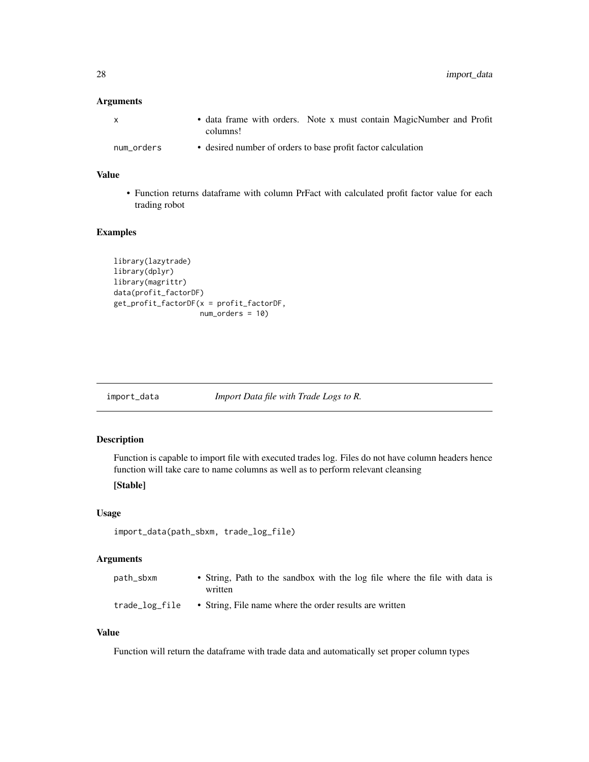# <span id="page-27-0"></span>Arguments

| X          | • data frame with orders. Note x must contain MagicNumber and Profit<br>columns! |  |  |
|------------|----------------------------------------------------------------------------------|--|--|
| num_orders | • desired number of orders to base profit factor calculation                     |  |  |

# Value

• Function returns dataframe with column PrFact with calculated profit factor value for each trading robot

# Examples

```
library(lazytrade)
library(dplyr)
library(magrittr)
data(profit_factorDF)
get_profit_factorDF(x = profit_factorDF,
                    num_orders = 10)
```
import\_data *Import Data file with Trade Logs to R.*

# Description

Function is capable to import file with executed trades log. Files do not have column headers hence function will take care to name columns as well as to perform relevant cleansing

# [Stable]

# Usage

```
import_data(path_sbxm, trade_log_file)
```
# Arguments

| path_sbxm      | • String, Path to the sandbox with the log file where the file with data is<br>written |
|----------------|----------------------------------------------------------------------------------------|
| trade_log_file | • String, File name where the order results are written                                |

#### Value

Function will return the dataframe with trade data and automatically set proper column types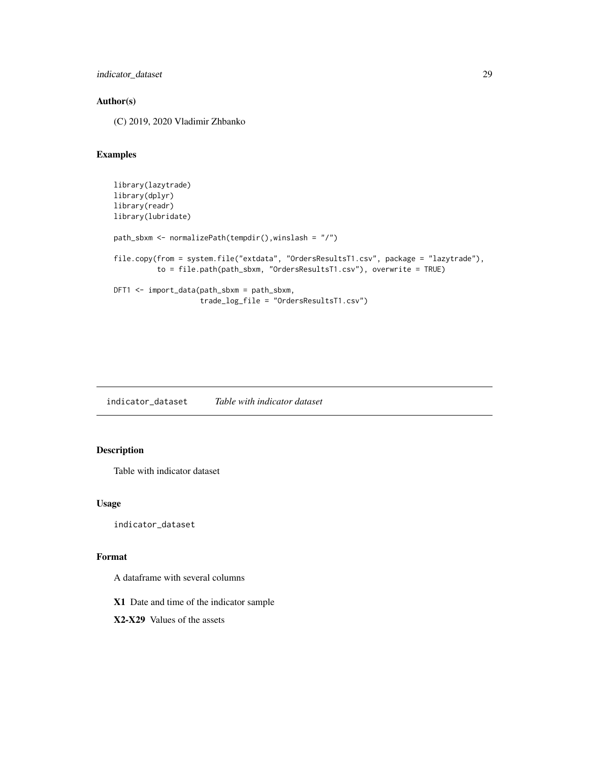```
indicator_dataset 29
```
# Author(s)

(C) 2019, 2020 Vladimir Zhbanko

# Examples

```
library(lazytrade)
library(dplyr)
library(readr)
library(lubridate)
path_sbxm <- normalizePath(tempdir(),winslash = "/")
file.copy(from = system.file("extdata", "OrdersResultsT1.csv", package = "lazytrade"),
          to = file.path(path_sbxm, "OrdersResultsT1.csv"), overwrite = TRUE)
DFT1 <- import_data(path_sbxm = path_sbxm,
                    trade_log_file = "OrdersResultsT1.csv")
```
indicator\_dataset *Table with indicator dataset*

# Description

Table with indicator dataset

#### Usage

indicator\_dataset

#### Format

A dataframe with several columns

X1 Date and time of the indicator sample

X2-X29 Values of the assets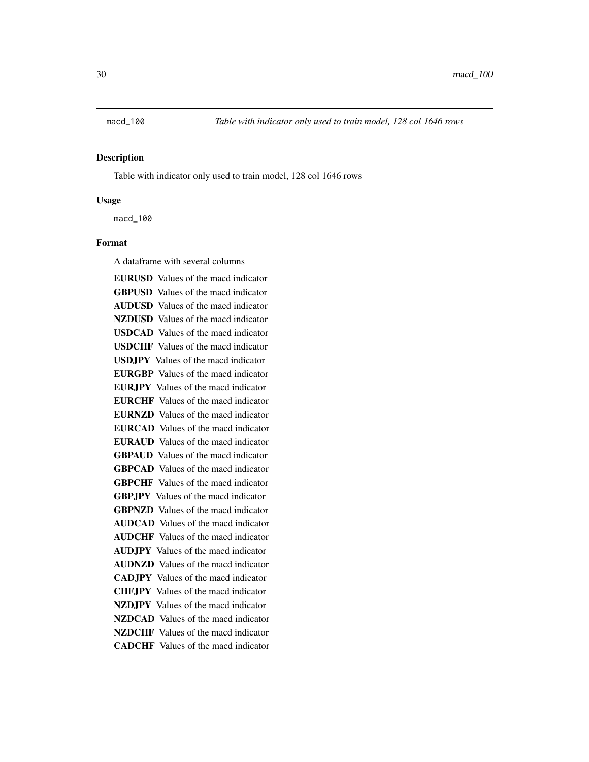<span id="page-29-0"></span>

#### **Description**

Table with indicator only used to train model, 128 col 1646 rows

#### Usage

macd\_100

### Format

A dataframe with several columns

EURUSD Values of the macd indicator GBPUSD Values of the macd indicator AUDUSD Values of the macd indicator NZDUSD Values of the macd indicator USDCAD Values of the macd indicator USDCHF Values of the macd indicator USDJPY Values of the macd indicator EURGBP Values of the macd indicator EURJPY Values of the macd indicator EURCHF Values of the macd indicator EURNZD Values of the macd indicator EURCAD Values of the macd indicator EURAUD Values of the macd indicator GBPAUD Values of the macd indicator GBPCAD Values of the macd indicator GBPCHF Values of the macd indicator GBPJPY Values of the macd indicator GBPNZD Values of the macd indicator AUDCAD Values of the macd indicator AUDCHF Values of the macd indicator AUDJPY Values of the macd indicator AUDNZD Values of the macd indicator CADJPY Values of the macd indicator CHFJPY Values of the macd indicator NZDJPY Values of the macd indicator NZDCAD Values of the macd indicator NZDCHF Values of the macd indicator CADCHF Values of the macd indicator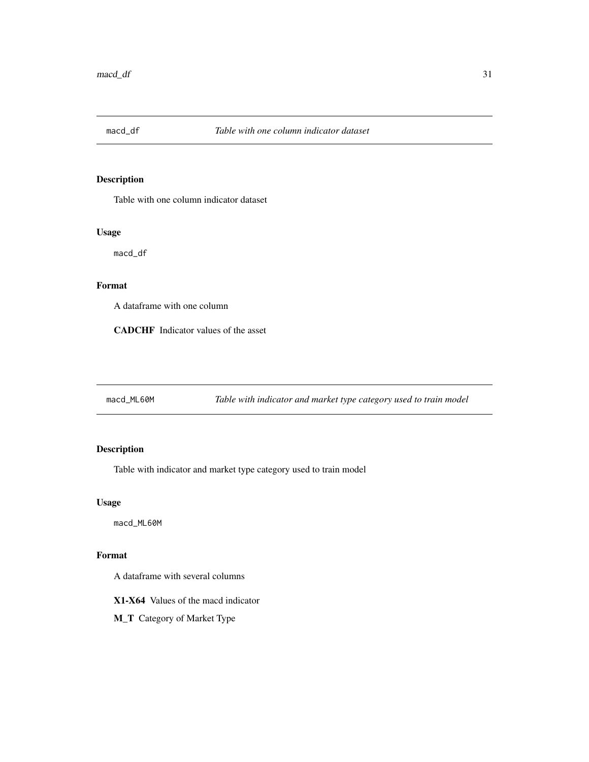<span id="page-30-0"></span>

# Description

Table with one column indicator dataset

# Usage

macd\_df

# Format

A dataframe with one column

CADCHF Indicator values of the asset

macd\_ML60M *Table with indicator and market type category used to train model*

# Description

Table with indicator and market type category used to train model

# Usage

macd\_ML60M

# Format

A dataframe with several columns

X1-X64 Values of the macd indicator

M\_T Category of Market Type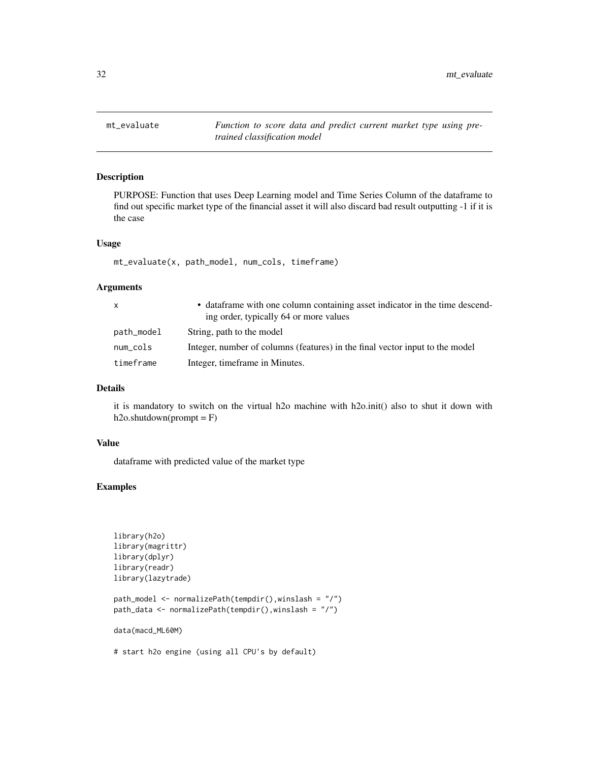<span id="page-31-0"></span>32 mt\_evaluate

mt\_evaluate *Function to score data and predict current market type using pretrained classification model*

#### Description

PURPOSE: Function that uses Deep Learning model and Time Series Column of the dataframe to find out specific market type of the financial asset it will also discard bad result outputting -1 if it is the case

#### Usage

mt\_evaluate(x, path\_model, num\_cols, timeframe)

#### Arguments

| $\mathsf{x}$ | • data frame with one column containing asset indicator in the time descend-<br>ing order, typically 64 or more values |
|--------------|------------------------------------------------------------------------------------------------------------------------|
| path_model   | String, path to the model                                                                                              |
| num_cols     | Integer, number of columns (features) in the final vector input to the model                                           |
| timeframe    | Integer, timeframe in Minutes.                                                                                         |

# Details

it is mandatory to switch on the virtual h2o machine with h2o.init() also to shut it down with  $h2o.shutdown(prompt = F)$ 

#### Value

dataframe with predicted value of the market type

# Examples

```
library(h2o)
library(magrittr)
library(dplyr)
library(readr)
library(lazytrade)
```

```
path_model <- normalizePath(tempdir(),winslash = "/")
path_data <- normalizePath(tempdir(),winslash = "/")
```
data(macd\_ML60M)

# start h2o engine (using all CPU's by default)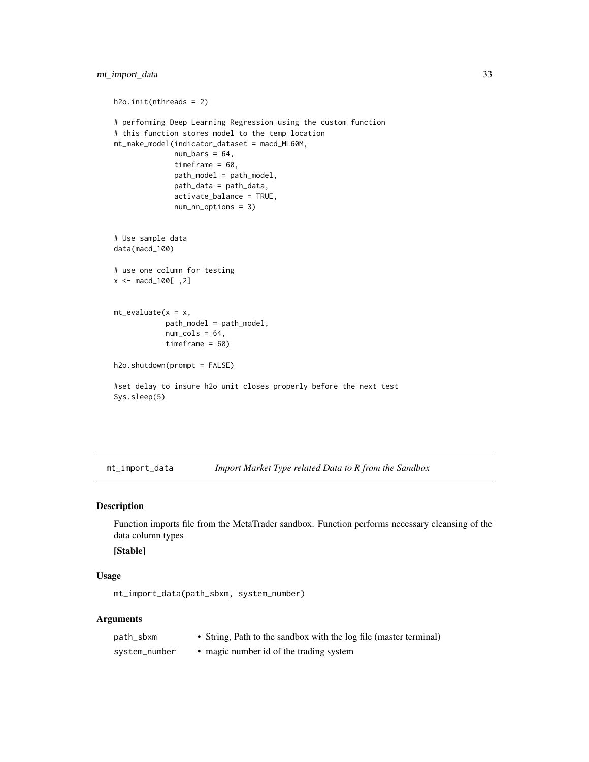```
h2o.init(nthreads = 2)
# performing Deep Learning Regression using the custom function
# this function stores model to the temp location
mt_make_model(indicator_dataset = macd_ML60M,
              num\_bars = 64,timeframe = 60,
              path_model = path_model,
              path_data = path_data,
              activate_balance = TRUE,
              num_nn_options = 3)
# Use sample data
data(macd_100)
# use one column for testing
x <- macd_100[ ,2]
mt<sub>evaluate</sub>(x = x,
            path_model = path_model,
            num\_cols = 64,timeframe = 60)
h2o.shutdown(prompt = FALSE)
#set delay to insure h2o unit closes properly before the next test
Sys.sleep(5)
```
mt\_import\_data *Import Market Type related Data to R from the Sandbox*

#### Description

Function imports file from the MetaTrader sandbox. Function performs necessary cleansing of the data column types

# [Stable]

# Usage

mt\_import\_data(path\_sbxm, system\_number)

# Arguments

| path_sbxm     | • String, Path to the sandbox with the log file (master terminal) |
|---------------|-------------------------------------------------------------------|
| system_number | • magic number id of the trading system                           |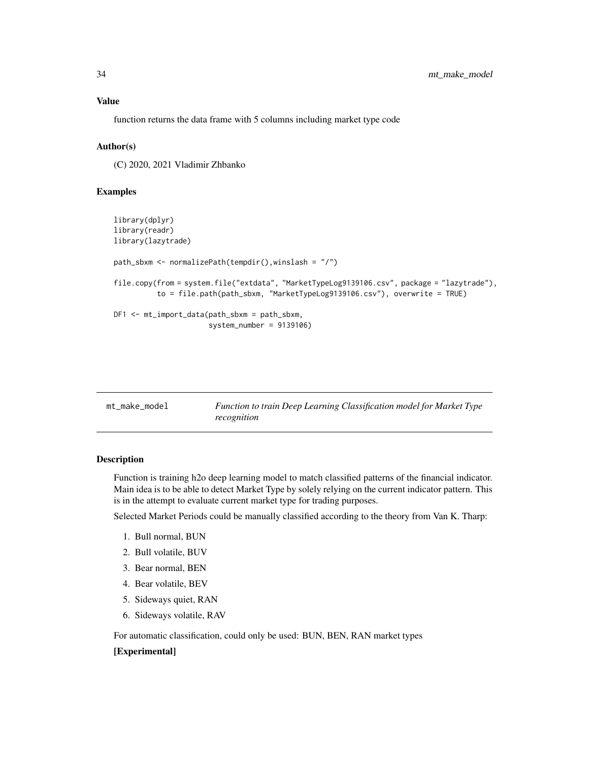# <span id="page-33-0"></span>Value

function returns the data frame with 5 columns including market type code

# Author(s)

(C) 2020, 2021 Vladimir Zhbanko

#### Examples

```
library(dplyr)
library(readr)
library(lazytrade)
path_sbxm <- normalizePath(tempdir(),winslash = "/")
file.copy(from = system.file("extdata", "MarketTypeLog9139106.csv", package = "lazytrade"),
          to = file.path(path_sbxm, "MarketTypeLog9139106.csv"), overwrite = TRUE)
DF1 <- mt_import_data(path_sbxm = path_sbxm,
                      system_number = 9139106)
```

| mt make model<br>recognition | Function to train Deep Learning Classification model for Market Type |
|------------------------------|----------------------------------------------------------------------|
|------------------------------|----------------------------------------------------------------------|

# **Description**

Function is training h2o deep learning model to match classified patterns of the financial indicator. Main idea is to be able to detect Market Type by solely relying on the current indicator pattern. This is in the attempt to evaluate current market type for trading purposes.

Selected Market Periods could be manually classified according to the theory from Van K. Tharp:

- 1. Bull normal, BUN
- 2. Bull volatile, BUV
- 3. Bear normal, BEN
- 4. Bear volatile, BEV
- 5. Sideways quiet, RAN
- 6. Sideways volatile, RAV

For automatic classification, could only be used: BUN, BEN, RAN market types

#### [Experimental]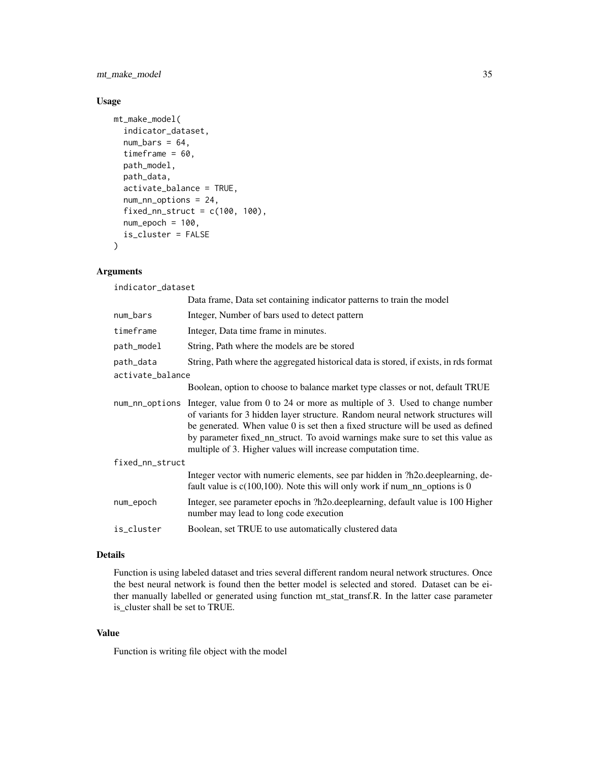mt\_make\_model 35

# Usage

```
mt_make_model(
  indicator_dataset,
  num\_bars = 64,
  timeframe = 60,
  path_model,
  path_data,
  activate_balance = TRUE,
  num_nn_options = 24,
  fixed_nn_struct = c(100, 100),
  num\_epoch = 100,is_cluster = FALSE
)
```
# Arguments

indicator\_dataset

|                  | Data frame, Data set containing indicator patterns to train the model                                                                                                                                                                                                                                                                                                                                                      |
|------------------|----------------------------------------------------------------------------------------------------------------------------------------------------------------------------------------------------------------------------------------------------------------------------------------------------------------------------------------------------------------------------------------------------------------------------|
| num_bars         | Integer, Number of bars used to detect pattern                                                                                                                                                                                                                                                                                                                                                                             |
| timeframe        | Integer, Data time frame in minutes.                                                                                                                                                                                                                                                                                                                                                                                       |
| path_model       | String, Path where the models are be stored                                                                                                                                                                                                                                                                                                                                                                                |
| path_data        | String, Path where the aggregated historical data is stored, if exists, in rds format                                                                                                                                                                                                                                                                                                                                      |
| activate_balance |                                                                                                                                                                                                                                                                                                                                                                                                                            |
|                  | Boolean, option to choose to balance market type classes or not, default TRUE                                                                                                                                                                                                                                                                                                                                              |
|                  | num_nn_options Integer, value from 0 to 24 or more as multiple of 3. Used to change number<br>of variants for 3 hidden layer structure. Random neural network structures will<br>be generated. When value $\theta$ is set then a fixed structure will be used as defined<br>by parameter fixed_nn_struct. To avoid warnings make sure to set this value as<br>multiple of 3. Higher values will increase computation time. |
| fixed_nn_struct  |                                                                                                                                                                                                                                                                                                                                                                                                                            |
|                  | Integer vector with numeric elements, see par hidden in ?h2o.deeplearning, de-<br>fault value is $c(100,100)$ . Note this will only work if num_nn_options is 0                                                                                                                                                                                                                                                            |
| num_epoch        | Integer, see parameter epochs in ?h2o.deeplearning, default value is 100 Higher<br>number may lead to long code execution                                                                                                                                                                                                                                                                                                  |
| is_cluster       | Boolean, set TRUE to use automatically clustered data                                                                                                                                                                                                                                                                                                                                                                      |

#### Details

Function is using labeled dataset and tries several different random neural network structures. Once the best neural network is found then the better model is selected and stored. Dataset can be either manually labelled or generated using function mt\_stat\_transf.R. In the latter case parameter is\_cluster shall be set to TRUE.

# Value

Function is writing file object with the model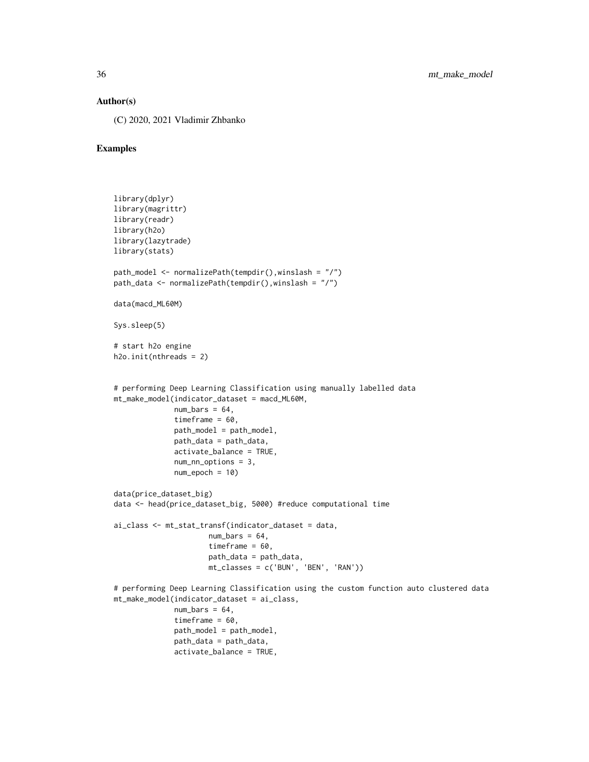#### Author(s)

(C) 2020, 2021 Vladimir Zhbanko

```
library(dplyr)
library(magrittr)
library(readr)
library(h2o)
library(lazytrade)
library(stats)
path_model <- normalizePath(tempdir(),winslash = "/")
path_data <- normalizePath(tempdir(),winslash = "/")
data(macd_ML60M)
Sys.sleep(5)
# start h2o engine
h2o.init(nthreads = 2)
# performing Deep Learning Classification using manually labelled data
mt_make_model(indicator_dataset = macd_ML60M,
              num\_bars = 64,
              timeframe = 60,
              path_model = path_model,
              path_data = path_data,
              activate_balance = TRUE,
              num_nn_options = 3,
              num\_epoch = 10data(price_dataset_big)
data <- head(price_dataset_big, 5000) #reduce computational time
ai_class <- mt_stat_transf(indicator_dataset = data,
                     num\_bars = 64,
                      timeframe = 60,
                      path_data = path_data,
                      mt_classes = c('BUN', 'BEN', 'RAN'))
# performing Deep Learning Classification using the custom function auto clustered data
mt_make_model(indicator_dataset = ai_class,
              num\_bars = 64,
              timeframe = 60,
              path_model = path_model,
              path_data = path_data,
              activate_balance = TRUE,
```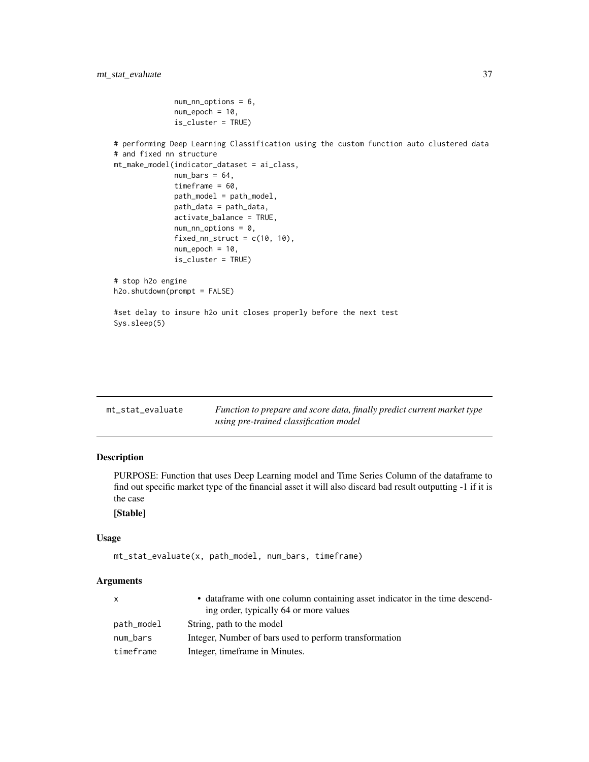```
num_nn_options = 6,
              num_epoch = 10,
              is_cluster = TRUE)
# performing Deep Learning Classification using the custom function auto clustered data
# and fixed nn structure
mt_make_model(indicator_dataset = ai_class,
              num\_bars = 64,
              timeframe = 60,
              path_model = path_model,
              path_data = path_data,
              activate_balance = TRUE,
              num_nn_options = 0,
              fixed_nn_struct = c(10, 10),
              num_epoch = 10,
              is_cluster = TRUE)
# stop h2o engine
h2o.shutdown(prompt = FALSE)
#set delay to insure h2o unit closes properly before the next test
Sys.sleep(5)
```

| mt_stat_evaluate | Function to prepare and score data, finally predict current market type |
|------------------|-------------------------------------------------------------------------|
|                  | using pre-trained classification model                                  |

# Description

PURPOSE: Function that uses Deep Learning model and Time Series Column of the dataframe to find out specific market type of the financial asset it will also discard bad result outputting -1 if it is the case

# [Stable]

#### Usage

```
mt_stat_evaluate(x, path_model, num_bars, timeframe)
```
#### Arguments

| $\mathsf{x}$ | • data frame with one column containing asset indicator in the time descend-<br>ing order, typically 64 or more values |
|--------------|------------------------------------------------------------------------------------------------------------------------|
| path_model   | String, path to the model                                                                                              |
| num_bars     | Integer, Number of bars used to perform transformation                                                                 |
| timeframe    | Integer, timeframe in Minutes.                                                                                         |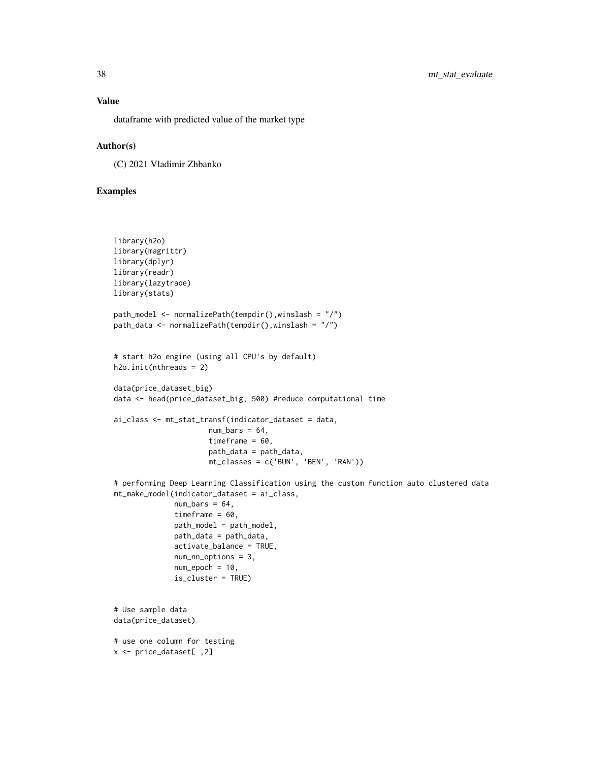# Value

dataframe with predicted value of the market type

### Author(s)

(C) 2021 Vladimir Zhbanko

```
library(h2o)
library(magrittr)
library(dplyr)
library(readr)
library(lazytrade)
library(stats)
path_model <- normalizePath(tempdir(),winslash = "/")
path_data <- normalizePath(tempdir(),winslash = "/")
# start h2o engine (using all CPU's by default)
h2o.init(nthreads = 2)
data(price_dataset_big)
data <- head(price_dataset_big, 500) #reduce computational time
ai_class <- mt_stat_transf(indicator_dataset = data,
                      num\_bars = 64,timeframe = 60,
                      path_data = path_data,
                      mt_classes = c('BUN', 'BEN', 'RAN'))
# performing Deep Learning Classification using the custom function auto clustered data
mt_make_model(indicator_dataset = ai_class,
              num\_bars = 64,
              timeframe = 60,
              path_model = path_model,
              path_data = path_data,
              activate_balance = TRUE,
              num_nn_options = 3,
              num\_epoch = 10,
              is_cluster = TRUE)
# Use sample data
data(price_dataset)
# use one column for testing
x <- price_dataset[ ,2]
```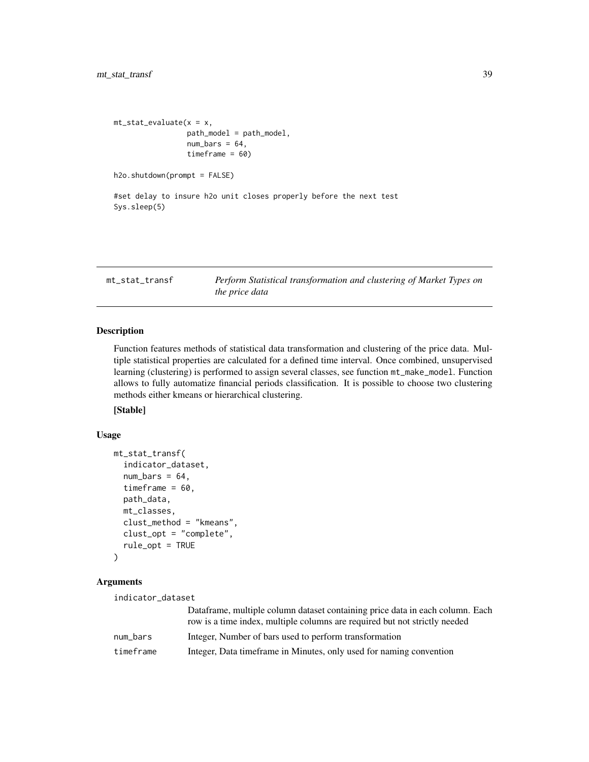```
mt\_stat\_evaluate(x = x,path_model = path_model,
                 num\_bars = 64,
                 timeframe = 60)
h2o.shutdown(prompt = FALSE)
#set delay to insure h2o unit closes properly before the next test
Sys.sleep(5)
```
mt\_stat\_transf *Perform Statistical transformation and clustering of Market Types on the price data*

# Description

Function features methods of statistical data transformation and clustering of the price data. Multiple statistical properties are calculated for a defined time interval. Once combined, unsupervised learning (clustering) is performed to assign several classes, see function mt\_make\_model. Function allows to fully automatize financial periods classification. It is possible to choose two clustering methods either kmeans or hierarchical clustering.

[Stable]

# Usage

```
mt_stat_transf(
  indicator_dataset,
  num\_bars = 64,
  timeframe = 60,
  path_data,
  mt_classes,
  clust_method = "kmeans",
  clust_opt = "complete",
  rule_opt = TRUE
\lambda
```
#### Arguments

| indicator_dataset |                                                                                                                                                             |
|-------------------|-------------------------------------------------------------------------------------------------------------------------------------------------------------|
|                   | Dataframe, multiple column dataset containing price data in each column. Each<br>row is a time index, multiple columns are required but not strictly needed |
| num_bars          | Integer, Number of bars used to perform transformation                                                                                                      |
| timeframe         | Integer, Data time frame in Minutes, only used for naming convention                                                                                        |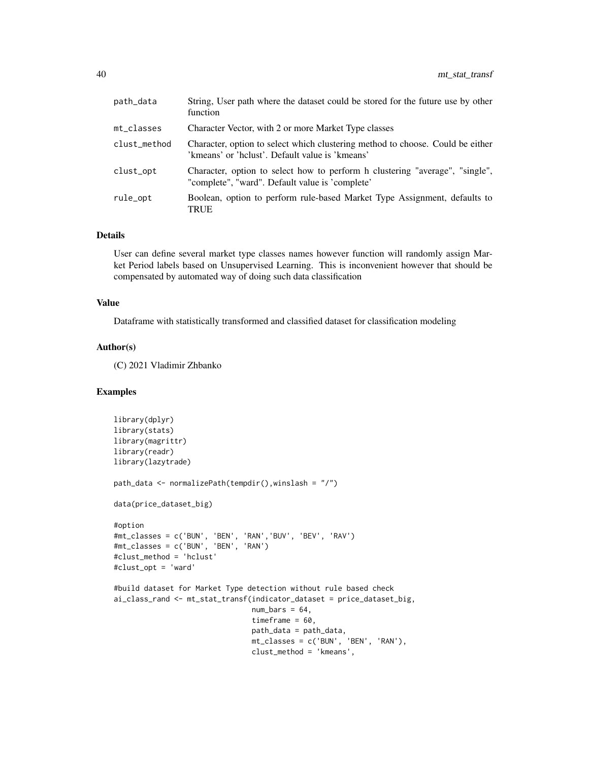| path_data    | String, User path where the dataset could be stored for the future use by other<br>function                                       |
|--------------|-----------------------------------------------------------------------------------------------------------------------------------|
| mt_classes   | Character Vector, with 2 or more Market Type classes                                                                              |
| clust_method | Character, option to select which clustering method to choose. Could be either<br>'kmeans' or 'hclust'. Default value is 'kmeans' |
| clust_opt    | Character, option to select how to perform h clustering "average", "single",<br>"complete", "ward". Default value is 'complete'   |
| rule_opt     | Boolean, option to perform rule-based Market Type Assignment, defaults to<br>TRUE                                                 |

#### Details

User can define several market type classes names however function will randomly assign Market Period labels based on Unsupervised Learning. This is inconvenient however that should be compensated by automated way of doing such data classification

# Value

Dataframe with statistically transformed and classified dataset for classification modeling

#### Author(s)

(C) 2021 Vladimir Zhbanko

```
library(dplyr)
library(stats)
library(magrittr)
library(readr)
library(lazytrade)
path_data <- normalizePath(tempdir(),winslash = "/")
data(price_dataset_big)
#option
#mt_classes = c('BUN', 'BEN', 'RAN','BUV', 'BEV', 'RAV')
#mt_classes = c('BUN', 'BEN', 'RAN')
#clust_method = 'hclust'
#clust_opt = 'ward'
#build dataset for Market Type detection without rule based check
ai_class_rand <- mt_stat_transf(indicator_dataset = price_dataset_big,
                                num\_bars = 64,
                                timeframe = 60,
                                path_data = path_data,
                                mt_classes = c('BUN', 'BEN', 'RAN'),
                                clust_method = 'kmeans',
```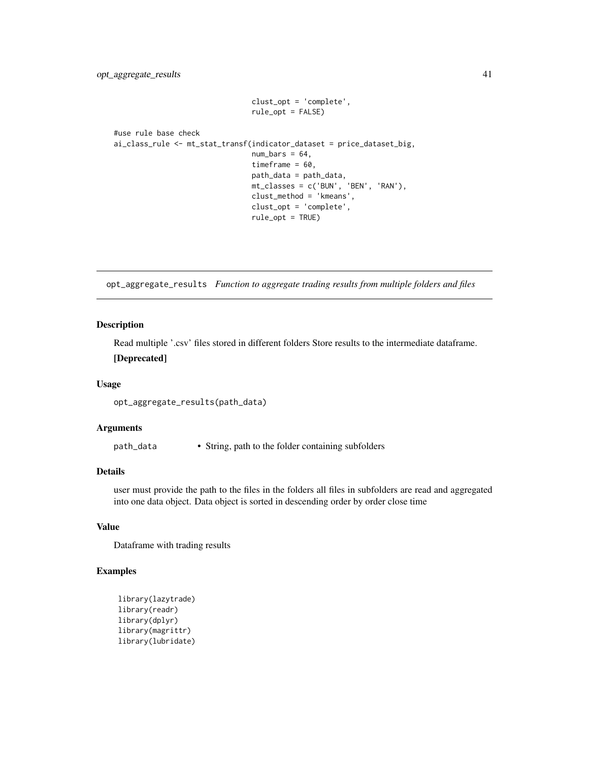```
clust_opt = 'complete',
                                rule_opt = FALSE)
#use rule base check
ai_class_rule <- mt_stat_transf(indicator_dataset = price_dataset_big,
                                num\_bars = 64,
                                timeframe = 60,
                                path_data = path_data,
                                mt_classes = c('BUN', 'BEN', 'RAN'),
                                clust_method = 'kmeans',
                                clust_opt = 'complete',
                                rule_opt = TRUE)
```
opt\_aggregate\_results *Function to aggregate trading results from multiple folders and files*

#### Description

Read multiple '.csv' files stored in different folders Store results to the intermediate dataframe.

#### [Deprecated]

#### Usage

opt\_aggregate\_results(path\_data)

# Arguments

path\_data • String, path to the folder containing subfolders

# Details

user must provide the path to the files in the folders all files in subfolders are read and aggregated into one data object. Data object is sorted in descending order by order close time

# Value

Dataframe with trading results

```
library(lazytrade)
library(readr)
library(dplyr)
library(magrittr)
library(lubridate)
```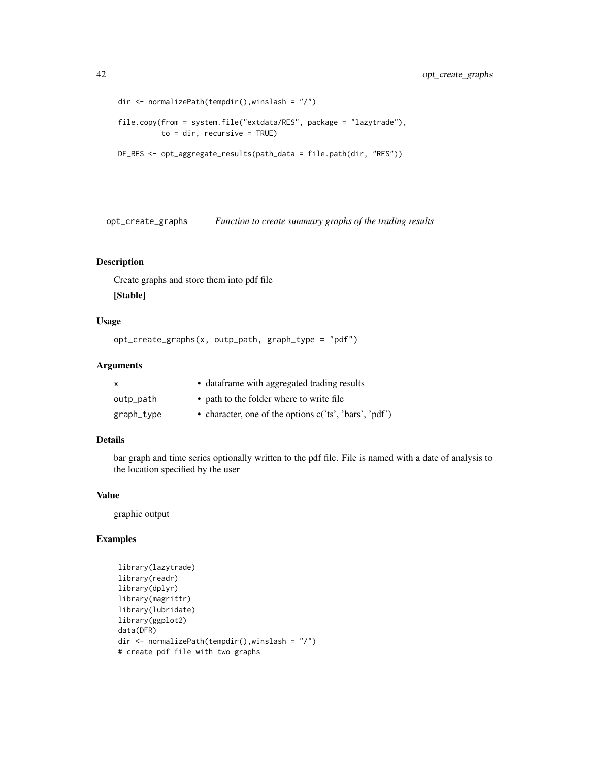```
dir <- normalizePath(tempdir(),winslash = "/")
file.copy(from = system.file("extdata/RES", package = "lazytrade"),
          to = dir, recursive = TRUE)
DF_RES <- opt_aggregate_results(path_data = file.path(dir, "RES"))
```
opt\_create\_graphs *Function to create summary graphs of the trading results*

#### Description

Create graphs and store them into pdf file [Stable]

#### Usage

```
opt_create_graphs(x, outp_path, graph_type = "pdf")
```
# Arguments

| $\mathsf{x}$ | • dataframe with aggregated trading results            |
|--------------|--------------------------------------------------------|
| outp_path    | • path to the folder where to write file               |
| graph_type   | • character, one of the options c('ts', 'bars', 'pdf') |

#### Details

bar graph and time series optionally written to the pdf file. File is named with a date of analysis to the location specified by the user

#### Value

graphic output

```
library(lazytrade)
library(readr)
library(dplyr)
library(magrittr)
library(lubridate)
library(ggplot2)
data(DFR)
dir <- normalizePath(tempdir(),winslash = "/")
# create pdf file with two graphs
```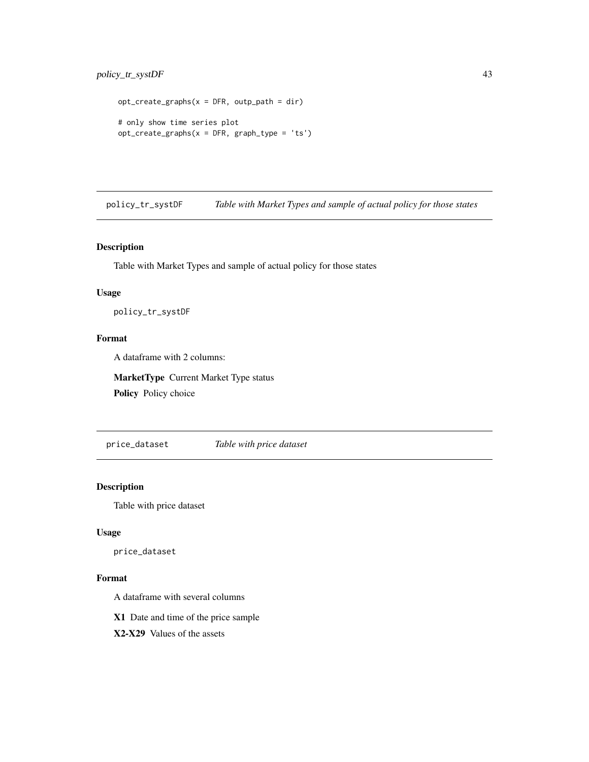# <span id="page-42-0"></span>policy\_tr\_systDF 43

```
opt\_create\_graphs(x = DFR, outp\_path = dir)# only show time series plot
opt_create_graphs(x = DFR, graph_type = 'ts')
```
policy\_tr\_systDF *Table with Market Types and sample of actual policy for those states*

# Description

Table with Market Types and sample of actual policy for those states

# Usage

policy\_tr\_systDF

# Format

A dataframe with 2 columns:

MarketType Current Market Type status

Policy Policy choice

price\_dataset *Table with price dataset*

# Description

Table with price dataset

#### Usage

price\_dataset

#### Format

A dataframe with several columns

X1 Date and time of the price sample

X2-X29 Values of the assets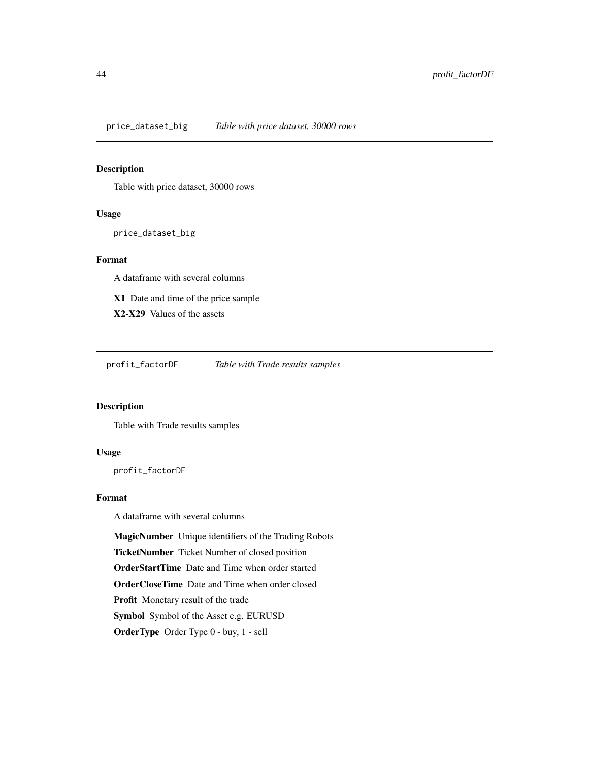<span id="page-43-0"></span>price\_dataset\_big *Table with price dataset, 30000 rows*

# Description

Table with price dataset, 30000 rows

# Usage

price\_dataset\_big

# Format

A dataframe with several columns

X1 Date and time of the price sample

X2-X29 Values of the assets

profit\_factorDF *Table with Trade results samples*

# Description

Table with Trade results samples

#### Usage

profit\_factorDF

# Format

A dataframe with several columns

MagicNumber Unique identifiers of the Trading Robots

TicketNumber Ticket Number of closed position

OrderStartTime Date and Time when order started

OrderCloseTime Date and Time when order closed

Profit Monetary result of the trade

Symbol Symbol of the Asset e.g. EURUSD

OrderType Order Type 0 - buy, 1 - sell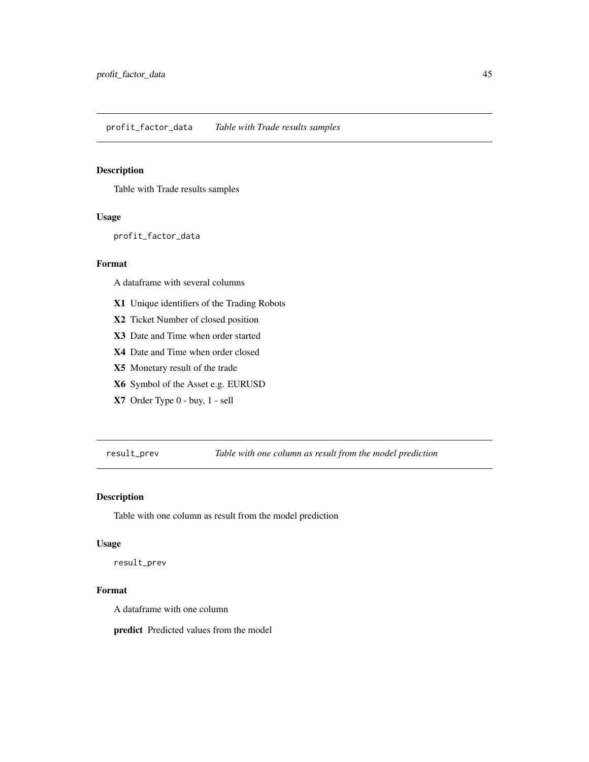#### <span id="page-44-0"></span>Description

Table with Trade results samples

# Usage

profit\_factor\_data

# Format

A dataframe with several columns

- X1 Unique identifiers of the Trading Robots
- X2 Ticket Number of closed position
- X3 Date and Time when order started
- X4 Date and Time when order closed
- X5 Monetary result of the trade
- X6 Symbol of the Asset e.g. EURUSD
- X7 Order Type 0 buy, 1 sell

result\_prev *Table with one column as result from the model prediction*

# Description

Table with one column as result from the model prediction

#### Usage

result\_prev

# Format

A dataframe with one column

predict Predicted values from the model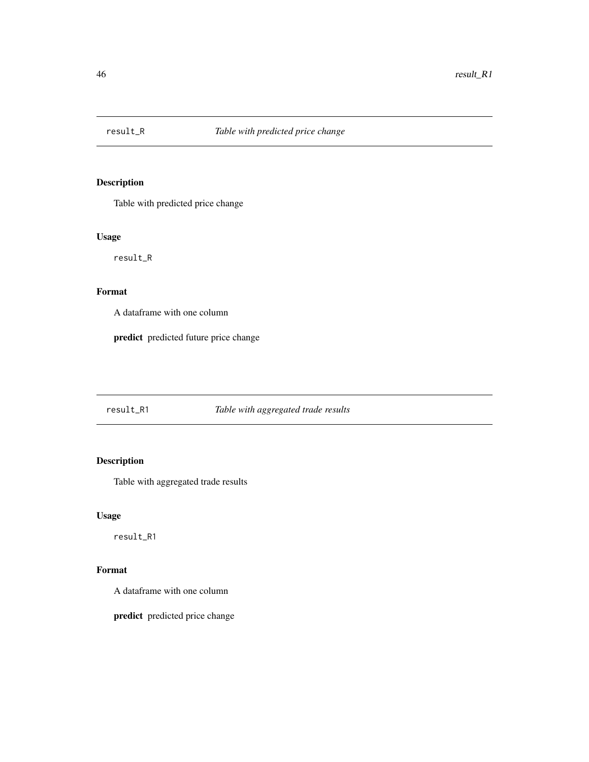<span id="page-45-0"></span>

# Description

Table with predicted price change

# Usage

result\_R

# Format

A dataframe with one column

predict predicted future price change

result\_R1 *Table with aggregated trade results*

# Description

Table with aggregated trade results

# Usage

result\_R1

# Format

A dataframe with one column

predict predicted price change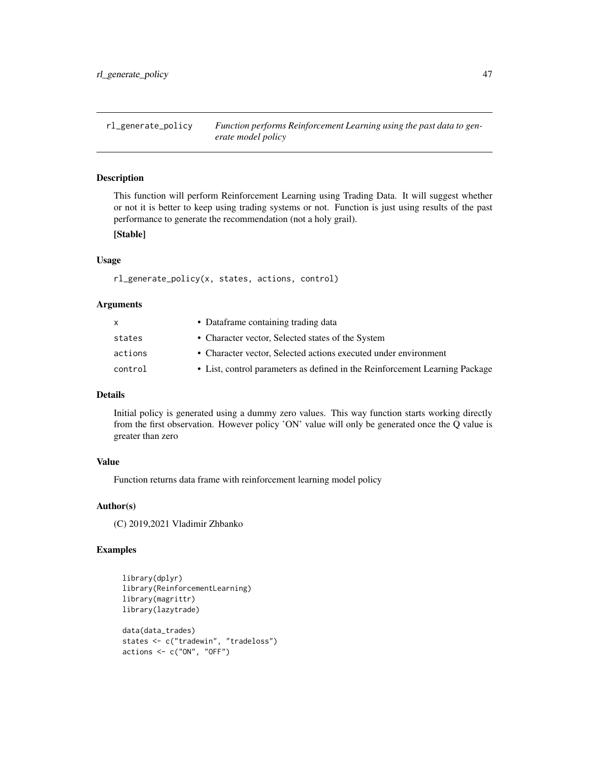<span id="page-46-0"></span>rl\_generate\_policy *Function performs Reinforcement Learning using the past data to generate model policy*

#### Description

This function will perform Reinforcement Learning using Trading Data. It will suggest whether or not it is better to keep using trading systems or not. Function is just using results of the past performance to generate the recommendation (not a holy grail).

# [Stable]

#### Usage

rl\_generate\_policy(x, states, actions, control)

#### Arguments

| $\mathsf{x}$ | • Dataframe containing trading data                                         |
|--------------|-----------------------------------------------------------------------------|
| states       | • Character vector, Selected states of the System                           |
| actions      | • Character vector, Selected actions executed under environment             |
| control      | • List, control parameters as defined in the Reinforcement Learning Package |
|              |                                                                             |

#### **Details**

Initial policy is generated using a dummy zero values. This way function starts working directly from the first observation. However policy 'ON' value will only be generated once the Q value is greater than zero

# Value

Function returns data frame with reinforcement learning model policy

#### Author(s)

(C) 2019,2021 Vladimir Zhbanko

```
library(dplyr)
library(ReinforcementLearning)
library(magrittr)
library(lazytrade)
data(data_trades)
states <- c("tradewin", "tradeloss")
actions <- c("ON", "OFF")
```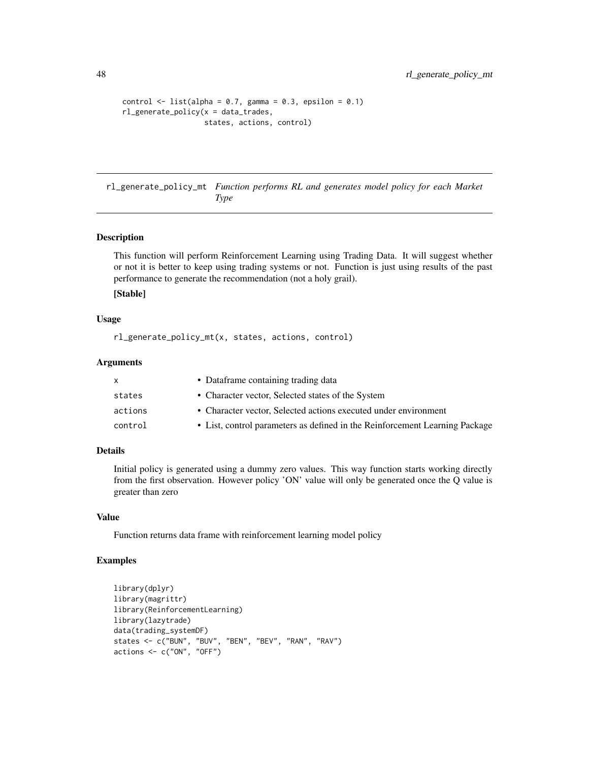```
control \le list(alpha = 0.7, gamma = 0.3, epsilon = 0.1)
rl_generate_policy(x = data_trades,
                   states, actions, control)
```
rl\_generate\_policy\_mt *Function performs RL and generates model policy for each Market Type*

### Description

This function will perform Reinforcement Learning using Trading Data. It will suggest whether or not it is better to keep using trading systems or not. Function is just using results of the past performance to generate the recommendation (not a holy grail).

# [Stable]

#### Usage

rl\_generate\_policy\_mt(x, states, actions, control)

#### Arguments

|         | • Dataframe containing trading data                                         |
|---------|-----------------------------------------------------------------------------|
| states  | • Character vector, Selected states of the System                           |
| actions | • Character vector, Selected actions executed under environment             |
| control | • List, control parameters as defined in the Reinforcement Learning Package |

# Details

Initial policy is generated using a dummy zero values. This way function starts working directly from the first observation. However policy 'ON' value will only be generated once the Q value is greater than zero

#### Value

Function returns data frame with reinforcement learning model policy

```
library(dplyr)
library(magrittr)
library(ReinforcementLearning)
library(lazytrade)
data(trading_systemDF)
states <- c("BUN", "BUV", "BEN", "BEV", "RAN", "RAV")
actions <- c("ON", "OFF")
```
<span id="page-47-0"></span>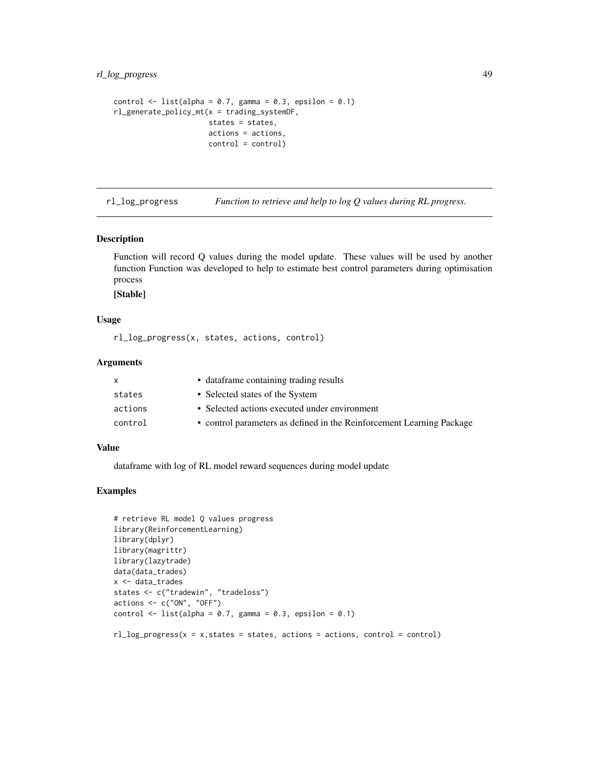# <span id="page-48-0"></span>rl\_log\_progress 49

```
control \le list(alpha = 0.7, gamma = 0.3, epsilon = 0.1)
rl_generate_policy_mt(x = trading_systemDF,
                      states = states,
                      actions = actions,
                      control = control)
```
rl\_log\_progress *Function to retrieve and help to log Q values during RL progress.*

# Description

Function will record Q values during the model update. These values will be used by another function Function was developed to help to estimate best control parameters during optimisation process

# [Stable]

#### Usage

rl\_log\_progress(x, states, actions, control)

#### Arguments

| x.      | • dataframe containing trading results                                |
|---------|-----------------------------------------------------------------------|
| states  | • Selected states of the System                                       |
| actions | • Selected actions executed under environment                         |
| control | • control parameters as defined in the Reinforcement Learning Package |
|         |                                                                       |

# Value

dataframe with log of RL model reward sequences during model update

```
# retrieve RL model Q values progress
library(ReinforcementLearning)
library(dplyr)
library(magrittr)
library(lazytrade)
data(data_trades)
x <- data_trades
states <- c("tradewin", "tradeloss")
actions <- c("ON", "OFF")
control \le list(alpha = 0.7, gamma = 0.3, epsilon = 0.1)
```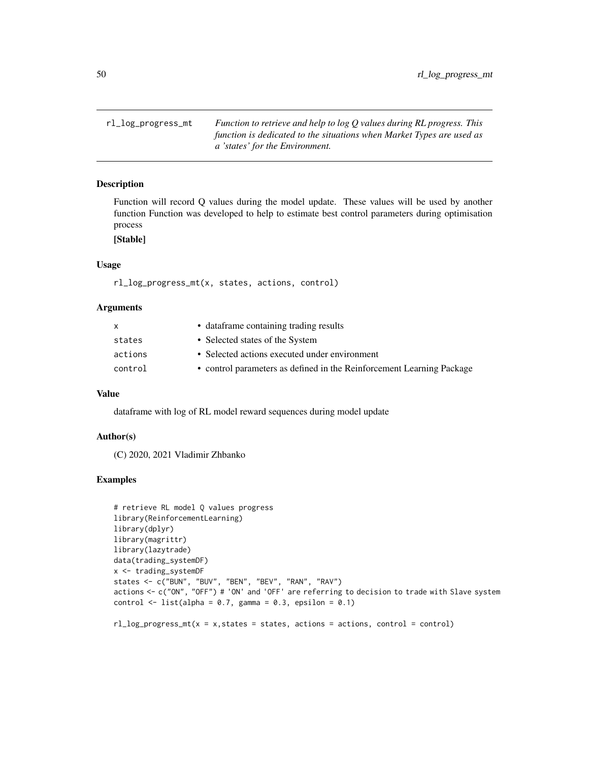<span id="page-49-0"></span>rl\_log\_progress\_mt *Function to retrieve and help to log Q values during RL progress. This function is dedicated to the situations when Market Types are used as a 'states' for the Environment.*

# Description

Function will record Q values during the model update. These values will be used by another function Function was developed to help to estimate best control parameters during optimisation process

# [Stable]

# Usage

```
rl_log_progress_mt(x, states, actions, control)
```
#### Arguments

| $\mathsf{X}$ | • dataframe containing trading results                                |
|--------------|-----------------------------------------------------------------------|
| states       | • Selected states of the System                                       |
| actions      | • Selected actions executed under environment                         |
| control      | • control parameters as defined in the Reinforcement Learning Package |
|              |                                                                       |

#### Value

dataframe with log of RL model reward sequences during model update

#### Author(s)

(C) 2020, 2021 Vladimir Zhbanko

### Examples

```
# retrieve RL model Q values progress
library(ReinforcementLearning)
library(dplyr)
library(magrittr)
library(lazytrade)
data(trading_systemDF)
x <- trading_systemDF
states <- c("BUN", "BUV", "BEN", "BEV", "RAN", "RAV")
actions <- c("ON", "OFF") # 'ON' and 'OFF' are referring to decision to trade with Slave system
control \le list(alpha = 0.7, gamma = 0.3, epsilon = 0.1)
```
 $rl\_log\_progress\_mt(x = x, states = states, actions = actions, control = control)$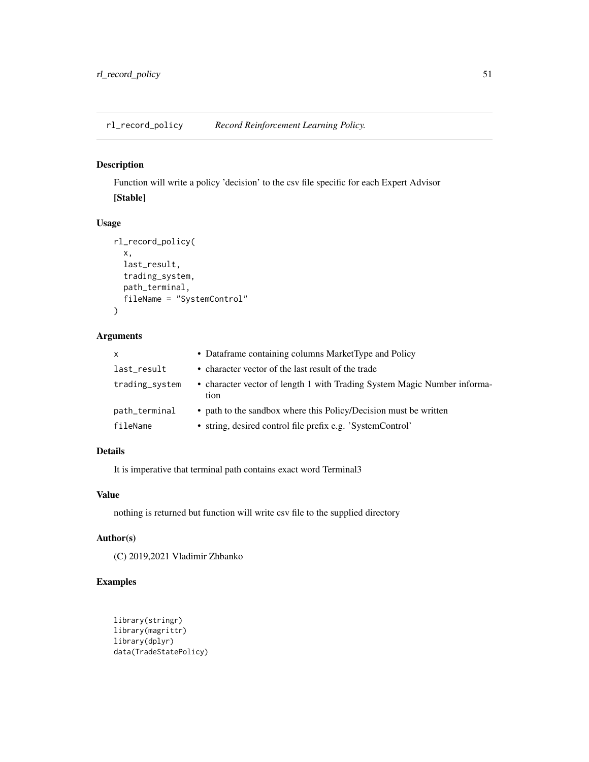<span id="page-50-0"></span>rl\_record\_policy *Record Reinforcement Learning Policy.*

# Description

Function will write a policy 'decision' to the csv file specific for each Expert Advisor [Stable]

# Usage

```
rl_record_policy(
  x,
 last_result,
 trading_system,
 path_terminal,
 fileName = "SystemControl"
)
```
# Arguments

| $\mathsf{x}$   | • Dataframe containing columns MarketType and Policy                             |
|----------------|----------------------------------------------------------------------------------|
| last_result    | • character vector of the last result of the trade                               |
| trading_system | • character vector of length 1 with Trading System Magic Number informa-<br>tion |
| path_terminal  | • path to the sandbox where this Policy/Decision must be written                 |
| fileName       | • string, desired control file prefix e.g. 'SystemControl'                       |

# Details

It is imperative that terminal path contains exact word Terminal3

# Value

nothing is returned but function will write csv file to the supplied directory

#### Author(s)

(C) 2019,2021 Vladimir Zhbanko

```
library(stringr)
library(magrittr)
library(dplyr)
data(TradeStatePolicy)
```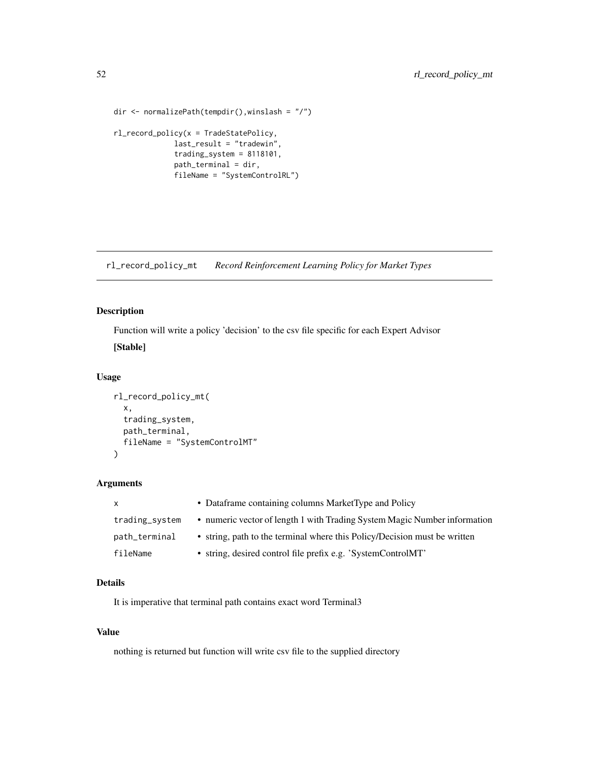```
dir <- normalizePath(tempdir(),winslash = "/")
rl_record_policy(x = TradeStatePolicy,
              last_result = "tradewin",
              trading_system = 8118101,
              path_terminal = dir,
              fileName = "SystemControlRL")
```
rl\_record\_policy\_mt *Record Reinforcement Learning Policy for Market Types*

# Description

Function will write a policy 'decision' to the csv file specific for each Expert Advisor

[Stable]

# Usage

```
rl_record_policy_mt(
  x,
  trading_system,
 path_terminal,
  fileName = "SystemControlMT"
)
```
# Arguments

| $\mathsf{X}$   | • Dataframe containing columns MarketType and Policy                      |
|----------------|---------------------------------------------------------------------------|
| trading_system | • numeric vector of length 1 with Trading System Magic Number information |
| path_terminal  | • string, path to the terminal where this Policy/Decision must be written |
| fileName       | • string, desired control file prefix e.g. 'SystemControlMT'              |

# Details

It is imperative that terminal path contains exact word Terminal3

#### Value

nothing is returned but function will write csv file to the supplied directory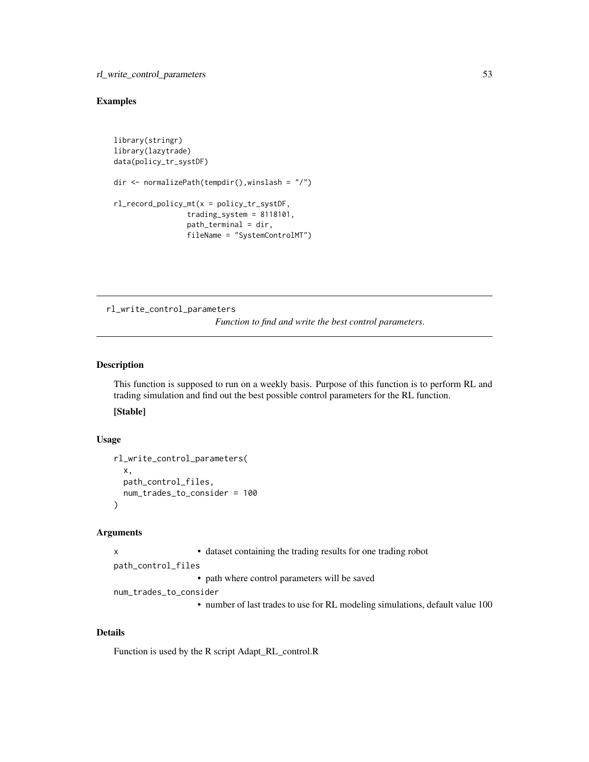#### <span id="page-52-0"></span>Examples

```
library(stringr)
library(lazytrade)
data(policy_tr_systDF)
dir <- normalizePath(tempdir(),winslash = "/")
rl_record_policy_mt(x = policy_tr_systDF,
                 trading_system = 8118101,
                 path_terminal = dir,
                 fileName = "SystemControlMT")
```
rl\_write\_control\_parameters

*Function to find and write the best control parameters.*

#### Description

This function is supposed to run on a weekly basis. Purpose of this function is to perform RL and trading simulation and find out the best possible control parameters for the RL function.

[Stable]

#### Usage

```
rl_write_control_parameters(
 x,
 path_control_files,
 num_trades_to_consider = 100
)
```
#### Arguments

x • dataset containing the trading results for one trading robot

path\_control\_files

• path where control parameters will be saved

num\_trades\_to\_consider

• number of last trades to use for RL modeling simulations, default value 100

#### Details

Function is used by the R script Adapt\_RL\_control.R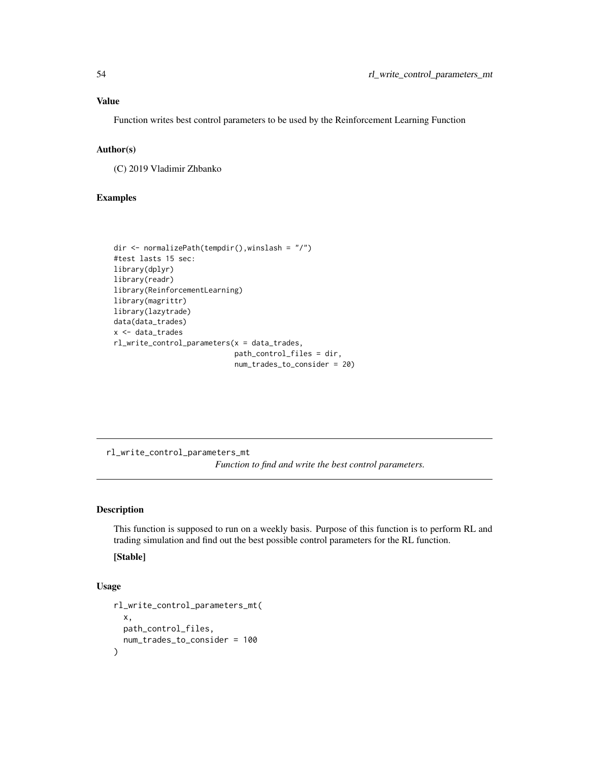#### <span id="page-53-0"></span>Value

Function writes best control parameters to be used by the Reinforcement Learning Function

# Author(s)

(C) 2019 Vladimir Zhbanko

# Examples

```
dir <- normalizePath(tempdir(),winslash = "/")
#test lasts 15 sec:
library(dplyr)
library(readr)
library(ReinforcementLearning)
library(magrittr)
library(lazytrade)
data(data_trades)
x <- data_trades
rl_write_control_parameters(x = data_trades,
                            path_control_files = dir,
                            num_trades_to_consider = 20)
```
rl\_write\_control\_parameters\_mt *Function to find and write the best control parameters.*

#### Description

This function is supposed to run on a weekly basis. Purpose of this function is to perform RL and trading simulation and find out the best possible control parameters for the RL function.

# [Stable]

#### Usage

```
rl_write_control_parameters_mt(
 x,
 path_control_files,
 num_trades_to_consider = 100
)
```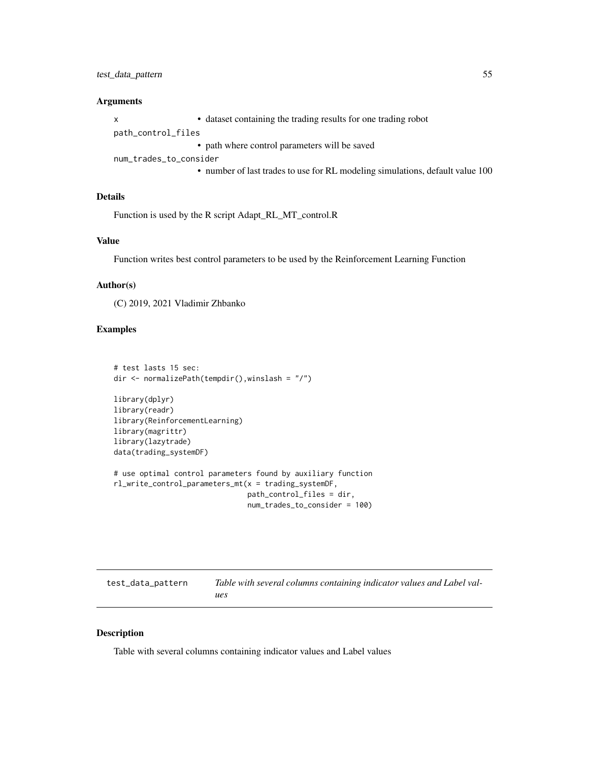# <span id="page-54-0"></span>test\_data\_pattern 55

#### **Arguments**

x • dataset containing the trading results for one trading robot path\_control\_files • path where control parameters will be saved num\_trades\_to\_consider • number of last trades to use for RL modeling simulations, default value 100

# Details

Function is used by the R script Adapt\_RL\_MT\_control.R

#### Value

Function writes best control parameters to be used by the Reinforcement Learning Function

# Author(s)

(C) 2019, 2021 Vladimir Zhbanko

#### Examples

```
# test lasts 15 sec:
dir <- normalizePath(tempdir(),winslash = "/")
library(dplyr)
library(readr)
library(ReinforcementLearning)
library(magrittr)
library(lazytrade)
data(trading_systemDF)
# use optimal control parameters found by auxiliary function
rl_write_control_parameters_mt(x = trading_systemDF,
                               path_control_files = dir,
                               num_trades_to_consider = 100)
```

| test_data_pattern | Table with several columns containing indicator values and Label val- |
|-------------------|-----------------------------------------------------------------------|
|                   | ues                                                                   |

#### Description

Table with several columns containing indicator values and Label values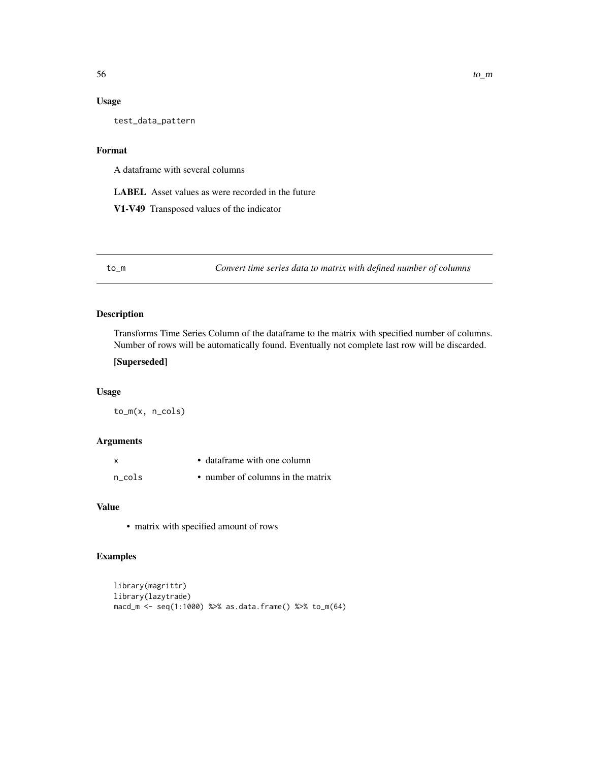# <span id="page-55-0"></span>Usage

test\_data\_pattern

### Format

A dataframe with several columns

LABEL Asset values as were recorded in the future

V1-V49 Transposed values of the indicator

to\_m *Convert time series data to matrix with defined number of columns*

#### Description

Transforms Time Series Column of the dataframe to the matrix with specified number of columns. Number of rows will be automatically found. Eventually not complete last row will be discarded.

#### [Superseded]

# Usage

to\_m(x, n\_cols)

#### Arguments

| $\boldsymbol{\mathsf{x}}$ | • dataframe with one column       |
|---------------------------|-----------------------------------|
| n cols                    | • number of columns in the matrix |

# Value

• matrix with specified amount of rows

```
library(magrittr)
library(lazytrade)
macd_m <- seq(1:1000) %>% as.data.frame() %>% to_m(64)
```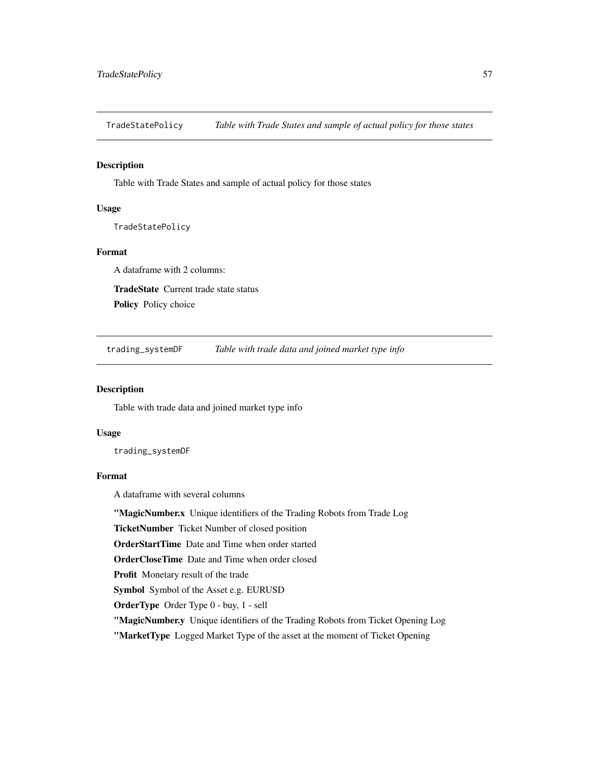<span id="page-56-0"></span>TradeStatePolicy *Table with Trade States and sample of actual policy for those states*

#### Description

Table with Trade States and sample of actual policy for those states

#### Usage

TradeStatePolicy

# Format

A dataframe with 2 columns: TradeState Current trade state status

Policy Policy choice

trading\_systemDF *Table with trade data and joined market type info*

#### Description

Table with trade data and joined market type info

#### Usage

trading\_systemDF

# Format

A dataframe with several columns

"MagicNumber.x Unique identifiers of the Trading Robots from Trade Log

TicketNumber Ticket Number of closed position

OrderStartTime Date and Time when order started

OrderCloseTime Date and Time when order closed

Profit Monetary result of the trade

Symbol Symbol of the Asset e.g. EURUSD

OrderType Order Type 0 - buy, 1 - sell

"MagicNumber.y Unique identifiers of the Trading Robots from Ticket Opening Log

"MarketType Logged Market Type of the asset at the moment of Ticket Opening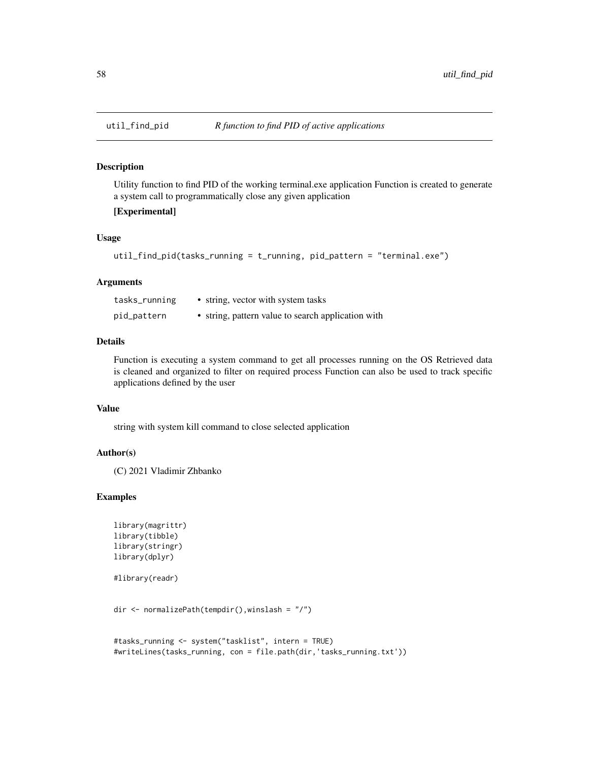#### Description

Utility function to find PID of the working terminal.exe application Function is created to generate a system call to programmatically close any given application

# [Experimental]

#### Usage

```
util_find_pid(tasks_running = t_running, pid_pattern = "terminal.exe")
```
#### Arguments

| tasks_running | • string, vector with system tasks                 |
|---------------|----------------------------------------------------|
| pid_pattern   | • string, pattern value to search application with |

#### Details

Function is executing a system command to get all processes running on the OS Retrieved data is cleaned and organized to filter on required process Function can also be used to track specific applications defined by the user

#### Value

string with system kill command to close selected application

#### Author(s)

(C) 2021 Vladimir Zhbanko

```
library(magrittr)
library(tibble)
library(stringr)
library(dplyr)
```

```
#library(readr)
```

```
dir <- normalizePath(tempdir(),winslash = "/")
```

```
#tasks_running <- system("tasklist", intern = TRUE)
#writeLines(tasks_running, con = file.path(dir,'tasks_running.txt'))
```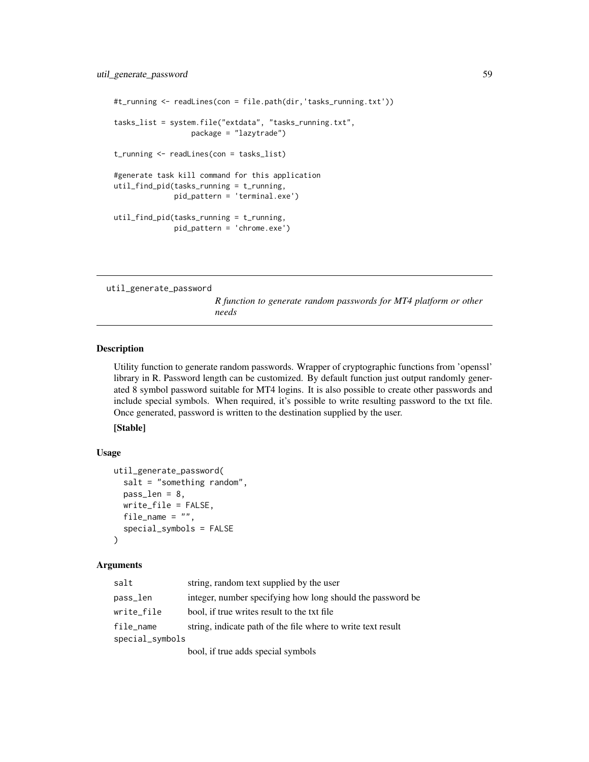```
#t_running <- readLines(con = file.path(dir,'tasks_running.txt'))
tasks_list = system.file("extdata", "tasks_running.txt",
                  package = "lazytrade")
t_running <- readLines(con = tasks_list)
#generate task kill command for this application
util_find_pid(tasks_running = t_running,
             pid_pattern = 'terminal.exe')
util_find_pid(tasks_running = t_running,
             pid_pattern = 'chrome.exe')
```
util\_generate\_password

*R function to generate random passwords for MT4 platform or other needs*

# Description

Utility function to generate random passwords. Wrapper of cryptographic functions from 'openssl' library in R. Password length can be customized. By default function just output randomly generated 8 symbol password suitable for MT4 logins. It is also possible to create other passwords and include special symbols. When required, it's possible to write resulting password to the txt file. Once generated, password is written to the destination supplied by the user.

[Stable]

#### Usage

```
util_generate_password(
  salt = "something random",pass_len = 8,
 write_file = FALSE,
 file_name = ",
  special_symbols = FALSE
)
```
#### Arguments

| salt            | string, random text supplied by the user                     |
|-----------------|--------------------------------------------------------------|
| pass_len        | integer, number specifying how long should the password be   |
| write_file      | bool, if true writes result to the txt file.                 |
| file_name       | string, indicate path of the file where to write text result |
| special_symbols |                                                              |
|                 | bool, if true adds special symbols                           |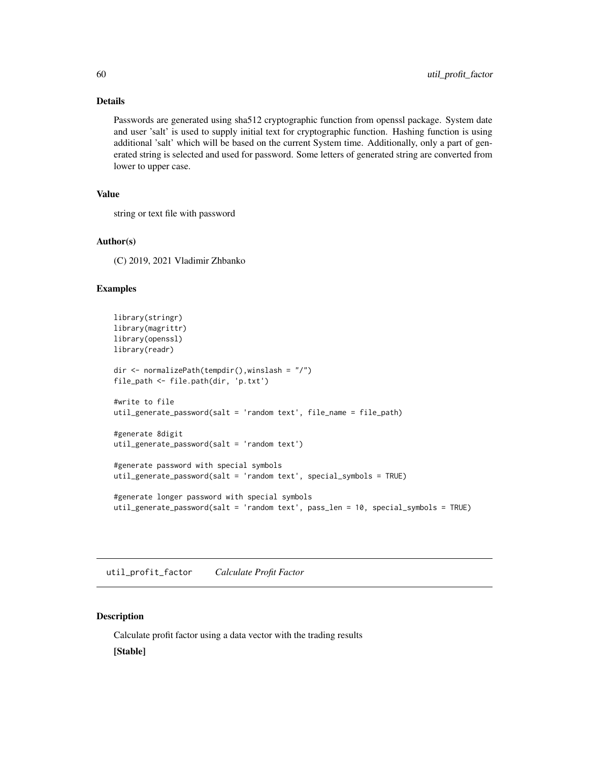# Details

Passwords are generated using sha512 cryptographic function from openssl package. System date and user 'salt' is used to supply initial text for cryptographic function. Hashing function is using additional 'salt' which will be based on the current System time. Additionally, only a part of generated string is selected and used for password. Some letters of generated string are converted from lower to upper case.

### Value

string or text file with password

#### Author(s)

(C) 2019, 2021 Vladimir Zhbanko

#### Examples

```
library(stringr)
library(magrittr)
library(openssl)
library(readr)
dir <- normalizePath(tempdir(),winslash = "/")
file_path <- file.path(dir, 'p.txt')
#write to file
util_generate_password(salt = 'random text', file_name = file_path)
#generate 8digit
util_generate_password(salt = 'random text')
#generate password with special symbols
util_generate_password(salt = 'random text', special_symbols = TRUE)
#generate longer password with special symbols
util_generate_password(salt = 'random text', pass_len = 10, special_symbols = TRUE)
```
util\_profit\_factor *Calculate Profit Factor*

# Description

Calculate profit factor using a data vector with the trading results [Stable]

<span id="page-59-0"></span>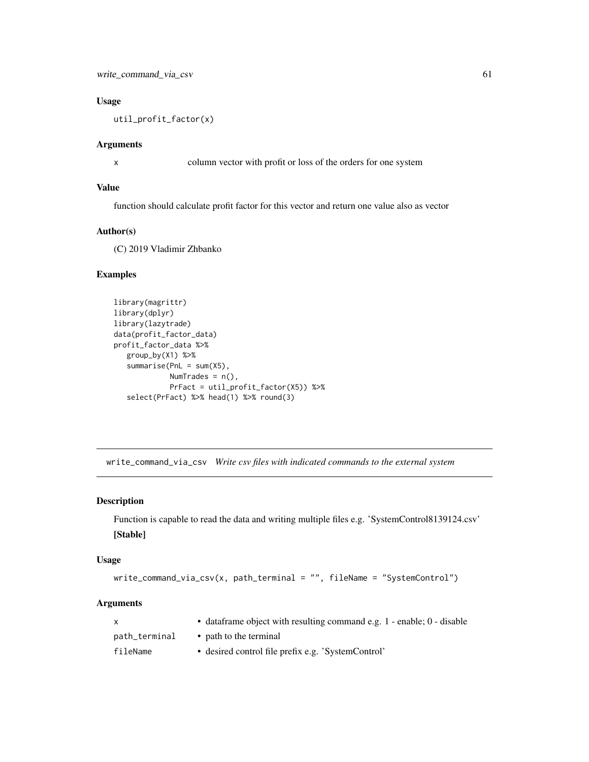# <span id="page-60-0"></span>Usage

util\_profit\_factor(x)

#### Arguments

x column vector with profit or loss of the orders for one system

### Value

function should calculate profit factor for this vector and return one value also as vector

# Author(s)

(C) 2019 Vladimir Zhbanko

# Examples

```
library(magrittr)
library(dplyr)
library(lazytrade)
data(profit_factor_data)
profit_factor_data %>%
   group_by(X1) %>%
   summarise(PnL = sum(X5),
            NumTrades = n(),
             PrFact = util_profit_factor(X5)) %>%
   select(PrFact) %>% head(1) %>% round(3)
```
write\_command\_via\_csv *Write csv files with indicated commands to the external system*

#### Description

Function is capable to read the data and writing multiple files e.g. 'SystemControl8139124.csv' [Stable]

#### Usage

```
write_command_via_csv(x, path_terminal = "", fileName = "SystemControl")
```
# Arguments

| X             | • dataframe object with resulting command e.g. 1 - enable; 0 - disable |
|---------------|------------------------------------------------------------------------|
| path_terminal | • path to the terminal                                                 |
| fileName      | • desired control file prefix e.g. 'SystemControl'                     |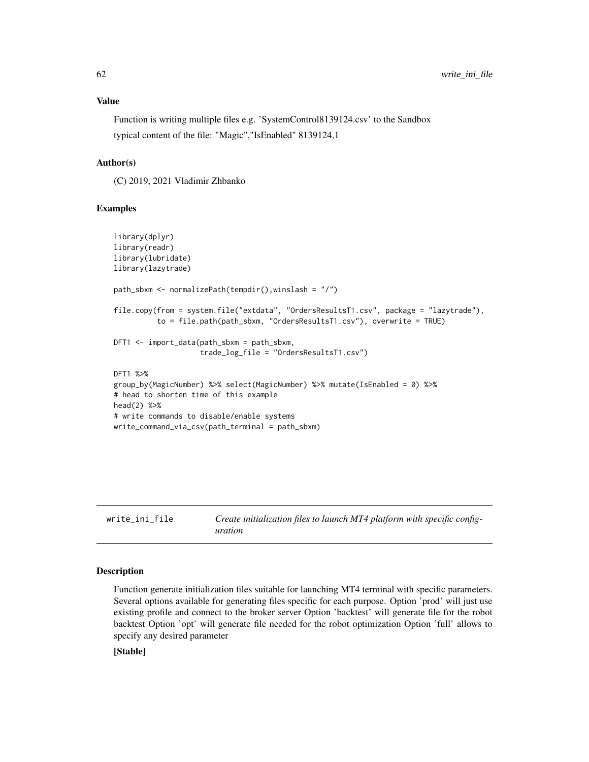<span id="page-61-0"></span>Function is writing multiple files e.g. 'SystemControl8139124.csv' to the Sandbox typical content of the file: "Magic","IsEnabled" 8139124,1

# Author(s)

(C) 2019, 2021 Vladimir Zhbanko

#### Examples

```
library(dplyr)
library(readr)
library(lubridate)
library(lazytrade)
path_sbxm <- normalizePath(tempdir(),winslash = "/")
file.copy(from = system.file("extdata", "OrdersResultsT1.csv", package = "lazytrade"),
          to = file.path(path_sbxm, "OrdersResultsT1.csv"), overwrite = TRUE)
DFT1 <- import_data(path_sbxm = path_sbxm,
                    trade_log_file = "OrdersResultsT1.csv")
DFT1 %>%
group_by(MagicNumber) %>% select(MagicNumber) %>% mutate(IsEnabled = 0) %>%
# head to shorten time of this example
head(2) %>%
# write commands to disable/enable systems
write_command_via_csv(path_terminal = path_sbxm)
```
write\_ini\_file *Create initialization files to launch MT4 platform with specific configuration*

#### Description

Function generate initialization files suitable for launching MT4 terminal with specific parameters. Several options available for generating files specific for each purpose. Option 'prod' will just use existing profile and connect to the broker server Option 'backtest' will generate file for the robot backtest Option 'opt' will generate file needed for the robot optimization Option 'full' allows to specify any desired parameter

# [Stable]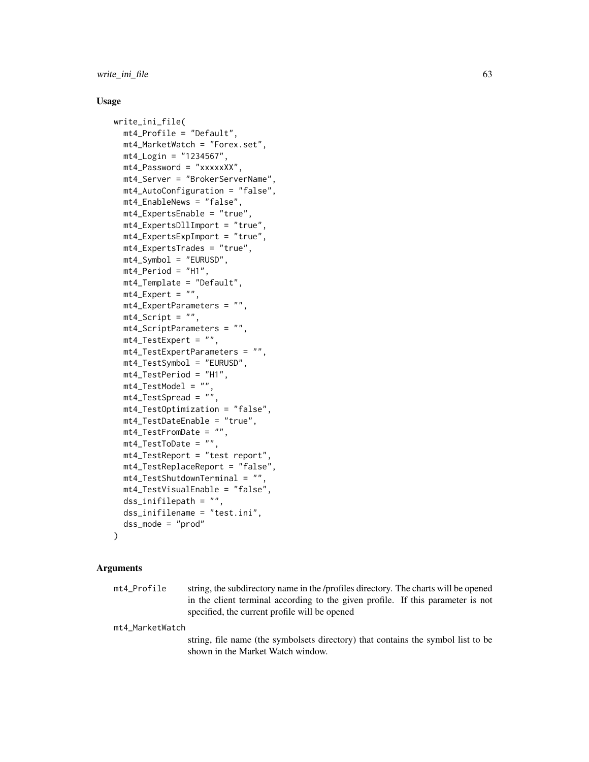write\_ini\_file 63

#### Usage

```
write_ini_file(
  mt4_Profile = "Default",
  mt4_MarketWatch = "Forex.set",
 mt4_Login = "1234567",
  mt4_Password = "xxxxxXX",
  mt4_Server = "BrokerServerName",
  mt4_AutoConfiguration = "false",
  mt4_EnableNews = "false",
  mt4_ExpertsEnable = "true",
  mt4_ExpertsDllImport = "true",
  mt4_ExpertsExpImport = "true",
  mt4_ExpertsTrades = "true",
  mt4_Symbol = "EURUSD",
  mt4<sup>-</sup>Period = "H1",
  mt4_Template = "Default",
 mt4<sub>-</sub>Expert = ",
  mt4_ExpertParameters = "",
  mt4_Script = '''',
  mt4_ScriptParameters = "",
  mt4_TestExpert = "",
  mt4_TestExpertParameters = "",
  mt4_TestSymbol = "EURUSD",
  mt4_TestPeriod = "H1",
  mt4_TestModel = "",
  mt4_TestSpread = "",
  mt4_TestOptimization = "false",
  mt4_TestDateEnable = "true",
  mt4_TestFromDate = "",
  mt4_TestToDate = "",
  mt4_TestReport = "test report",
  mt4_TestReplaceReport = "false",
  mt4_TestShutdownTerminal = "",
  mt4_TestVisualEnable = "false",
  dss_inifilepath = "",
  dss_inifilename = "test.ini",
  dss_mode = "prod"
```
#### **Arguments**

)

| mt4 Profile | string, the subdirectory name in the /profiles directory. The charts will be opened |
|-------------|-------------------------------------------------------------------------------------|
|             | in the client terminal according to the given profile. If this parameter is not     |
|             | specified, the current profile will be opened                                       |

mt4\_MarketWatch

string, file name (the symbolsets directory) that contains the symbol list to be shown in the Market Watch window.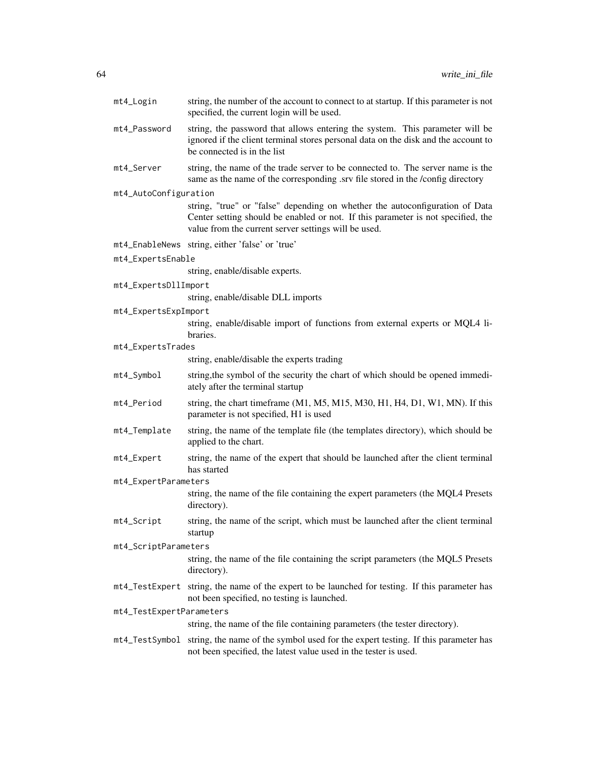| mt4_Login                | string, the number of the account to connect to at startup. If this parameter is not<br>specified, the current login will be used.                                                                                       |
|--------------------------|--------------------------------------------------------------------------------------------------------------------------------------------------------------------------------------------------------------------------|
| mt4_Password             | string, the password that allows entering the system. This parameter will be<br>ignored if the client terminal stores personal data on the disk and the account to<br>be connected is in the list                        |
| mt4_Server               | string, the name of the trade server to be connected to. The server name is the<br>same as the name of the corresponding .srv file stored in the /config directory                                                       |
| mt4_AutoConfiguration    |                                                                                                                                                                                                                          |
|                          | string, "true" or "false" depending on whether the autoconfiguration of Data<br>Center setting should be enabled or not. If this parameter is not specified, the<br>value from the current server settings will be used. |
|                          | mt4_EnableNews string, either 'false' or 'true'                                                                                                                                                                          |
| mt4_ExpertsEnable        |                                                                                                                                                                                                                          |
|                          | string, enable/disable experts.                                                                                                                                                                                          |
| mt4_ExpertsDllImport     |                                                                                                                                                                                                                          |
|                          | string, enable/disable DLL imports                                                                                                                                                                                       |
| mt4_ExpertsExpImport     |                                                                                                                                                                                                                          |
|                          | string, enable/disable import of functions from external experts or MQL4 li-<br>braries.                                                                                                                                 |
| mt4_ExpertsTrades        |                                                                                                                                                                                                                          |
|                          | string, enable/disable the experts trading                                                                                                                                                                               |
| mt4_Symbol               | string, the symbol of the security the chart of which should be opened immedi-<br>ately after the terminal startup                                                                                                       |
| mt4_Period               | string, the chart timeframe (M1, M5, M15, M30, H1, H4, D1, W1, MN). If this<br>parameter is not specified, H1 is used                                                                                                    |
| mt4_Template             | string, the name of the template file (the templates directory), which should be<br>applied to the chart.                                                                                                                |
| mt4_Expert               | string, the name of the expert that should be launched after the client terminal<br>has started                                                                                                                          |
| mt4_ExpertParameters     |                                                                                                                                                                                                                          |
|                          | string, the name of the file containing the expert parameters (the MQL4 Presets<br>directory).                                                                                                                           |
| mt4_Script               | string, the name of the script, which must be launched after the client terminal<br>startup                                                                                                                              |
| mt4_ScriptParameters     |                                                                                                                                                                                                                          |
|                          | string, the name of the file containing the script parameters (the MQL5 Presets<br>directory).                                                                                                                           |
|                          | mt4_TestExpert string, the name of the expert to be launched for testing. If this parameter has<br>not been specified, no testing is launched.                                                                           |
| mt4_TestExpertParameters |                                                                                                                                                                                                                          |
|                          | string, the name of the file containing parameters (the tester directory).                                                                                                                                               |
|                          | mt4_TestSymbol string, the name of the symbol used for the expert testing. If this parameter has<br>not been specified, the latest value used in the tester is used.                                                     |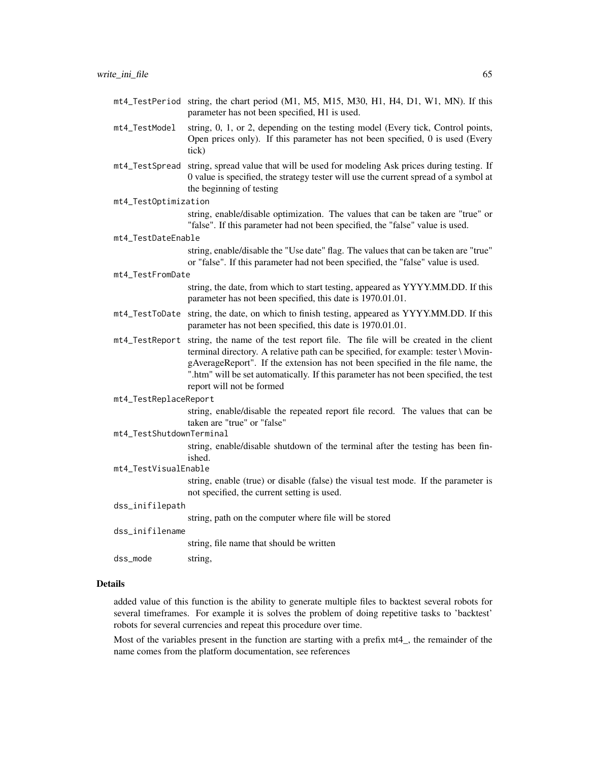- mt4\_TestPeriod string, the chart period (M1, M5, M15, M30, H1, H4, D1, W1, MN). If this parameter has not been specified, H1 is used.
- mt4\_TestModel string, 0, 1, or 2, depending on the testing model (Every tick, Control points, Open prices only). If this parameter has not been specified, 0 is used (Every tick)
- mt4\_TestSpread string, spread value that will be used for modeling Ask prices during testing. If 0 value is specified, the strategy tester will use the current spread of a symbol at the beginning of testing

mt4\_TestOptimization

string, enable/disable optimization. The values that can be taken are "true" or "false". If this parameter had not been specified, the "false" value is used.

```
mt4_TestDateEnable
```
string, enable/disable the "Use date" flag. The values that can be taken are "true" or "false". If this parameter had not been specified, the "false" value is used.

#### mt4\_TestFromDate

string, the date, from which to start testing, appeared as YYYY.MM.DD. If this parameter has not been specified, this date is 1970.01.01.

- mt4\_TestToDate string, the date, on which to finish testing, appeared as YYYY.MM.DD. If this parameter has not been specified, this date is 1970.01.01.
- mt4\_TestReport string, the name of the test report file. The file will be created in the client terminal directory. A relative path can be specified, for example: tester \ MovingAverageReport". If the extension has not been specified in the file name, the ".htm" will be set automatically. If this parameter has not been specified, the test report will not be formed

mt4\_TestReplaceReport

string, enable/disable the repeated report file record. The values that can be taken are "true" or "false"

mt4\_TestShutdownTerminal

string, enable/disable shutdown of the terminal after the testing has been finished.

mt4\_TestVisualEnable

string, enable (true) or disable (false) the visual test mode. If the parameter is not specified, the current setting is used.

dss\_inifilepath

string, path on the computer where file will be stored

dss\_inifilename string, file name that should be written

dss\_mode string,

#### Details

added value of this function is the ability to generate multiple files to backtest several robots for several timeframes. For example it is solves the problem of doing repetitive tasks to 'backtest' robots for several currencies and repeat this procedure over time.

Most of the variables present in the function are starting with a prefix mt4\_, the remainder of the name comes from the platform documentation, see references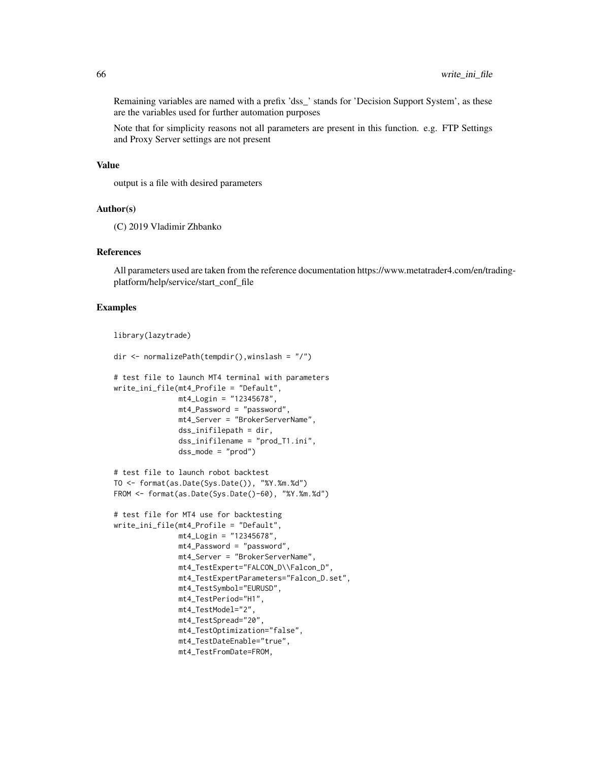Remaining variables are named with a prefix 'dss\_' stands for 'Decision Support System', as these are the variables used for further automation purposes

Note that for simplicity reasons not all parameters are present in this function. e.g. FTP Settings and Proxy Server settings are not present

#### Value

output is a file with desired parameters

#### Author(s)

(C) 2019 Vladimir Zhbanko

#### References

All parameters used are taken from the reference documentation https://www.metatrader4.com/en/tradingplatform/help/service/start\_conf\_file

```
library(lazytrade)
```

```
dir <- normalizePath(tempdir(),winslash = "/")
# test file to launch MT4 terminal with parameters
write_ini_file(mt4_Profile = "Default",
              mt4_Login = "12345678",
               mt4_Password = "password",
               mt4_Server = "BrokerServerName",
               dss_inifilepath = dir,
               dss_inifilename = "prod_T1.ini",
               dss_mode = "prod")
# test file to launch robot backtest
TO <- format(as.Date(Sys.Date()), "%Y.%m.%d")
FROM <- format(as.Date(Sys.Date()-60), "%Y.%m.%d")
# test file for MT4 use for backtesting
write_ini_file(mt4_Profile = "Default",
               mt4_Login = "12345678",
               mt4_Password = "password",
               mt4_Server = "BrokerServerName",
               mt4_TestExpert="FALCON_D\\Falcon_D",
               mt4_TestExpertParameters="Falcon_D.set",
               mt4_TestSymbol="EURUSD",
               mt4_TestPeriod="H1",
               mt4_TestModel="2",
               mt4_TestSpread="20",
               mt4_TestOptimization="false",
               mt4_TestDateEnable="true",
               mt4_TestFromDate=FROM,
```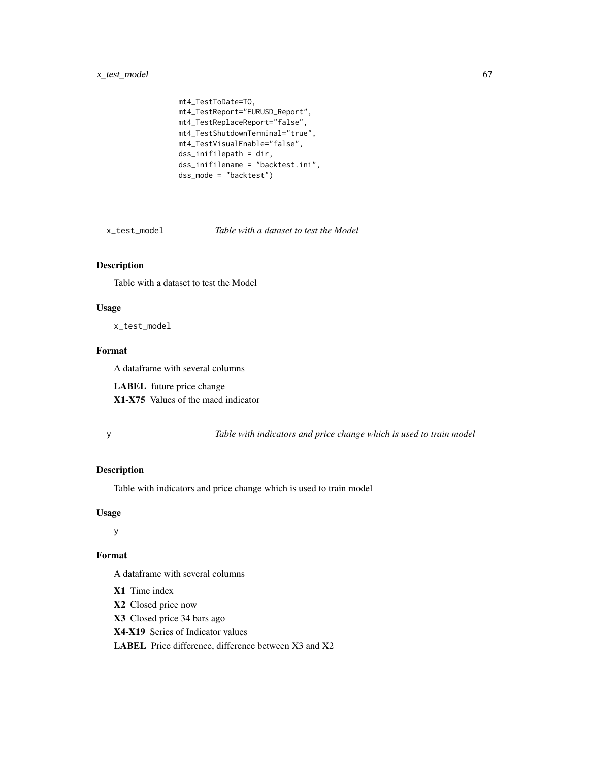# <span id="page-66-0"></span>x\_test\_model 67

```
mt4_TestToDate=TO,
mt4_TestReport="EURUSD_Report",
mt4_TestReplaceReport="false",
mt4_TestShutdownTerminal="true",
mt4_TestVisualEnable="false",
dss_inifilepath = dir,
dss_inifilename = "backtest.ini",
dss_mode = "backtest")
```
x\_test\_model *Table with a dataset to test the Model*

# Description

Table with a dataset to test the Model

# Usage

x\_test\_model

# Format

A dataframe with several columns

LABEL future price change

X1-X75 Values of the macd indicator

y *Table with indicators and price change which is used to train model*

# Description

Table with indicators and price change which is used to train model

# Usage

y

# Format

A dataframe with several columns

- X1 Time index
- X2 Closed price now
- X3 Closed price 34 bars ago
- X4-X19 Series of Indicator values

LABEL Price difference, difference between X3 and X2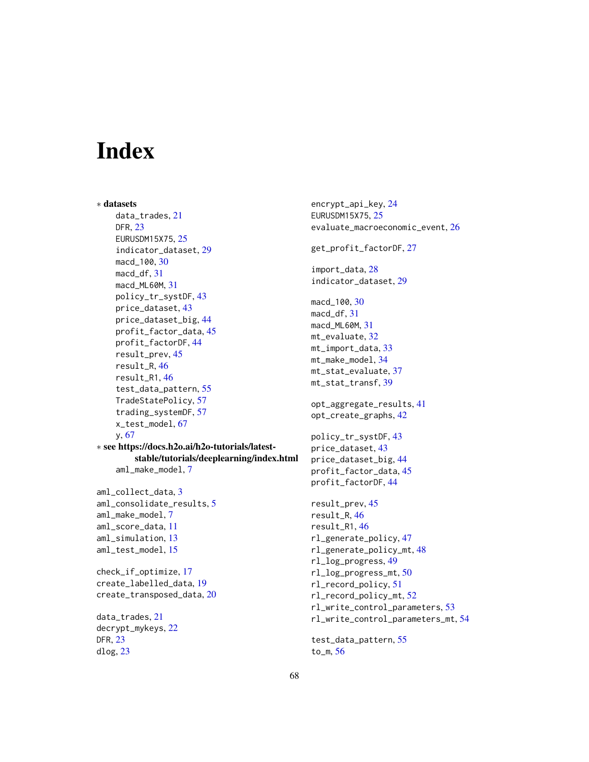# <span id="page-67-0"></span>**Index**

```
∗ datasets
    data_trades, 21
    DFR, 23
    EURUSDM15X75, 25
    indicator_dataset, 29
    macd_100, 30
    macd_df, 31
    macd_ML60M, 31
    policy_tr_systDF, 43
    price_dataset, 43
    price_dataset_big, 44
    profit_factor_data, 45
    profit_factorDF, 44
    result_prev, 45
    result_R, 46
    result_R1, 46
    test_data_pattern, 55
    TradeStatePolicy, 57
    trading_systemDF, 57
    x_test_model, 67
    y, 67
∗ see https://docs.h2o.ai/h2o-tutorials/latest-
        stable/tutorials/deeplearning/index.html
    aml_make_model, 7
aml_collect_data, 3
aml_consolidate_results, 5
aml_make_model, 7
aml_score_data, 11
aml_simulation, 13
aml_test_model, 15
check_if_optimize, 17
create_labelled_data, 19
create_transposed_data, 20
data_trades, 21
decrypt_mykeys, 22
DFR, 23
dlog, 23
```
encrypt\_api\_key, [24](#page-23-0) EURUSDM15X75, [25](#page-24-0) evaluate\_macroeconomic\_event, [26](#page-25-0) get\_profit\_factorDF, [27](#page-26-0) import\_data, [28](#page-27-0) indicator\_dataset, [29](#page-28-0) macd\_100, [30](#page-29-0) macd\_df, [31](#page-30-0) macd\_ML60M, [31](#page-30-0) mt\_evaluate, [32](#page-31-0) mt\_import\_data, [33](#page-32-0) mt\_make\_model, [34](#page-33-0) mt\_stat\_evaluate, [37](#page-36-0) mt\_stat\_transf, [39](#page-38-0) opt\_aggregate\_results, [41](#page-40-0) opt\_create\_graphs, [42](#page-41-0) policy\_tr\_systDF, [43](#page-42-0) price\_dataset, [43](#page-42-0) price\_dataset\_big, [44](#page-43-0) profit\_factor\_data, [45](#page-44-0) profit\_factorDF, [44](#page-43-0) result\_prev, [45](#page-44-0) result\_R, [46](#page-45-0) result\_R1, [46](#page-45-0) rl\_generate\_policy, [47](#page-46-0) rl\_generate\_policy\_mt, [48](#page-47-0) rl\_log\_progress, [49](#page-48-0) rl\_log\_progress\_mt, [50](#page-49-0) rl\_record\_policy, [51](#page-50-0) rl\_record\_policy\_mt, [52](#page-51-0) rl\_write\_control\_parameters, [53](#page-52-0) rl\_write\_control\_parameters\_mt, [54](#page-53-0) test\_data\_pattern, [55](#page-54-0) to\_m, [56](#page-55-0)